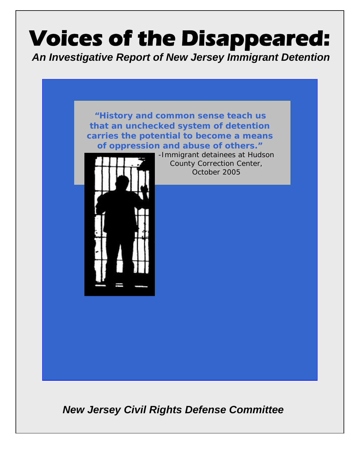# **Voices of the Disappeared:**

*An Investigative Report of New Jersey Immigrant Detention* 



*New Jersey Civil Rights Defense Committee*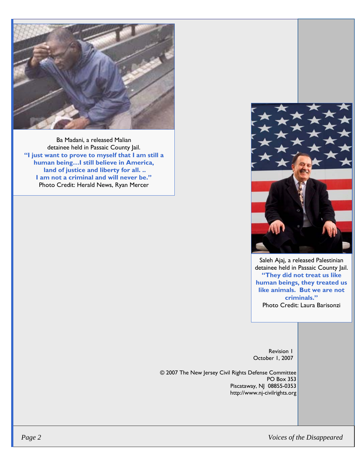

Ba Madani, a released Malian detainee held in Passaic County Jail. **"I just want to prove to myself that I am still a human being…I still believe in America, land of justice and liberty for all. .. I am not a criminal and will never be."**  Photo Credit: Herald News, Ryan Mercer



Saleh Ajaj, a released Palestinian detainee held in Passaic County Jail. **"They did not treat us like human beings, they treated us like animals. But we are not criminals."**  Photo Credit: Laura Barisonzi

Revision 1 October 1, 2007

© 2007 The New Jersey Civil Rights Defense Committee PO Box 353 Piscataway, NJ 08855-0353 http://www.nj-civilrights.org

 *Page 2 Voices of the Disappeared*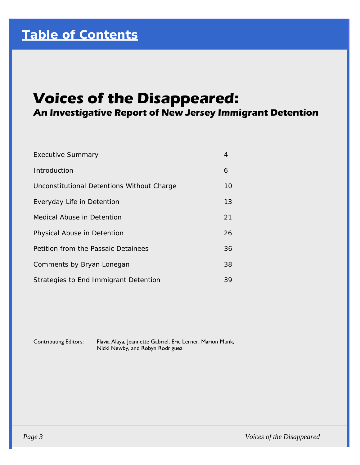# **Voices of the Disappeared:**

**An Investigative Report of New Jersey Immigrant Detention** 

| <b>Executive Summary</b>                   | 4  |
|--------------------------------------------|----|
| Introduction                               | 6  |
| Unconstitutional Detentions Without Charge | 10 |
| Everyday Life in Detention                 | 13 |
| Medical Abuse in Detention                 | 21 |
| Physical Abuse in Detention                | 26 |
| Petition from the Passaic Detainees        | 36 |
| Comments by Bryan Lonegan                  | 38 |
| Strategies to End Immigrant Detention      | 39 |

Contributing Editors: Flavia Alaya, Jeannette Gabriel, Eric Lerner, Marion Munk, Nicki Newby, and Robyn Rodriguez

 *Page 3 Voices of the Disappeared*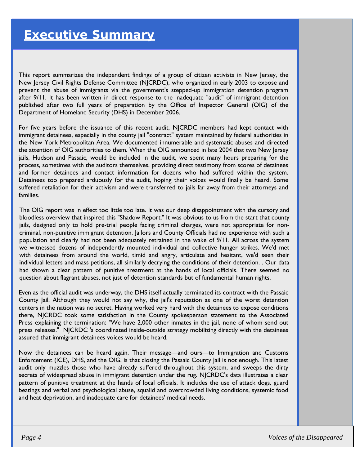This report summarizes the independent findings of a group of citizen activists in New Jersey, the New Jersey Civil Rights Defense Committee (NJCRDC), who organized in early 2003 to expose and prevent the abuse of immigrants via the government's stepped-up immigration detention program after 9/11. It has been written in direct response to the inadequate "audit" of immigrant detention published after two full years of preparation by the Office of Inspector General (OIG) of the Department of Homeland Security (DHS) in December 2006.

For five years before the issuance of this recent audit, NJCRDC members had kept contact with immigrant detainees, especially in the county jail "contract" system maintained by federal authorities in the New York Metropolitan Area. We documented innumerable and systematic abuses and directed the attention of OIG authorities to them. When the OIG announced in late 2004 that two New Jersey jails, Hudson and Passaic, would be included in the audit, we spent many hours preparing for the process, sometimes with the auditors themselves, providing direct testimony from scores of detainees and former detainees and contact information for dozens who had suffered within the system. Detainees too prepared arduously for the audit, hoping their voices would finally be heard. Some suffered retaliation for their activism and were transferred to jails far away from their attorneys and families.

The OIG report was in effect too little too late. It was our deep disappointment with the cursory and bloodless overview that inspired this "Shadow Report." It was obvious to us from the start that county jails, designed only to hold pre-trial people facing criminal charges, were not appropriate for noncriminal, non-punitive immigrant detention. Jailors and County Officials had no experience with such a population and clearly had not been adequately retrained in the wake of 9/11. All across the system we witnessed dozens of independently mounted individual and collective hunger strikes. We'd met with detainees from around the world, timid and angry, articulate and hesitant, we'd seen their individual letters and mass petitions, all similarly decrying the conditions of their detention. . Our data had shown a clear pattern of punitive treatment at the hands of local officials. There seemed no question about flagrant abuses, not just of detention standards but of fundamental human rights.

Even as the official audit was underway, the DHS itself actually terminated its contract with the Passaic County Jail. Although they would not say why, the jail's reputation as one of the worst detention centers in the nation was no secret. Having worked very hard with the detainees to expose conditions there, NJCRDC took some satisfaction in the County spokesperson statement to the Associated Press explaining the termination: "We have 2,000 other inmates in the jail, none of whom send out press releases." NJCRDC 's coordinated inside-outside strategy mobilizing directly with the detainees assured that immigrant detainees voices would be heard.

Now the detainees can be heard again. Their message—and ours—to Immigration and Customs Enforcement (ICE), DHS, and the OIG, is that closing the Passaic County Jail is not enough. This latest audit only muzzles those who have already suffered throughout this system, and sweeps the dirty secrets of widespread abuse in immigrant detention under the rug. NJCRDC's data illustrates a clear pattern of punitive treatment at the hands of local officials. It includes the use of attack dogs, guard beatings and verbal and psychological abuse, squalid and overcrowded living conditions, systemic food and heat deprivation, and inadequate care for detainees' medical needs.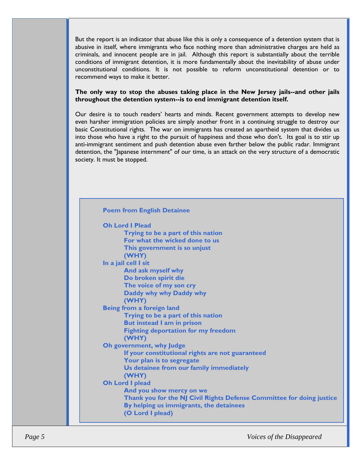But the report is an indicator that abuse like this is only a consequence of a detention system that is abusive in itself, where immigrants who face nothing more than administrative charges are held as criminals, and innocent people are in jail. Although this report is substantially about the terrible conditions of immigrant detention, it is more fundamentally about the inevitability of abuse under unconstitutional conditions. It is not possible to reform unconstitutional detention or to recommend ways to make it better.

#### **The only way to stop the abuses taking place in the New Jersey jails--and other jails throughout the detention system--is to end immigrant detention itself.**

Our desire is to touch readers' hearts and minds. Recent government attempts to develop new even harsher immigration policies are simply another front in a continuing struggle to destroy our basic Constitutional rights. The war on immigrants has created an apartheid system that divides us into those who have a right to the pursuit of happiness and those who don't. Its goal is to stir up anti-immigrant sentiment and push detention abuse even farther below the public radar. Immigrant detention, the "Japanese internment" of our time, is an attack on the very structure of a democratic society. It must be stopped.

#### **Poem from English Detainee**

| <b>Oh Lord I Plead</b>                                                |
|-----------------------------------------------------------------------|
| Trying to be a part of this nation                                    |
| For what the wicked done to us                                        |
| This government is so unjust                                          |
| (WHY)                                                                 |
| In a jail cell I sit                                                  |
| And ask myself why                                                    |
| Do broken spirit die                                                  |
| The voice of my son cry                                               |
| Daddy why why Daddy why                                               |
| (WHY)                                                                 |
| Being from a foreign land                                             |
| Trying to be a part of this nation                                    |
| But instead I am in prison                                            |
| <b>Fighting deportation for my freedom</b>                            |
| (WHY)                                                                 |
| Oh government, why Judge                                              |
| If your constitutional rights are not guaranteed                      |
| Your plan is to segregate                                             |
| Us detainee from our family immediately                               |
| (WHY)                                                                 |
| Oh Lord I plead                                                       |
| And you show mercy on we                                              |
| Thank you for the NJ Civil Rights Defense Committee for doing justice |
| By helping us immigrants, the detainees                               |
| (O Lord I plead)                                                      |
|                                                                       |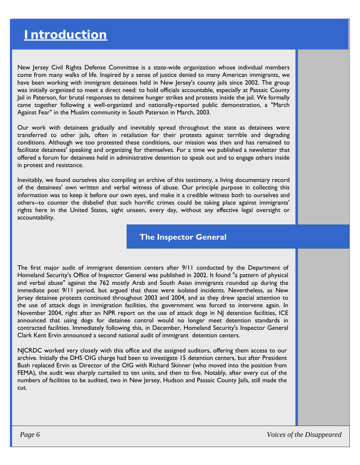New Jersey Civil Rights Defense Committee is a state-wide organization whose individual members come from many walks of life. Inspired by a sense of justice denied to many American immigrants, we have been working with immigrant detainees held in New Jersey's county jails since 2002. The group was initially organized to meet a direct need: to hold officials accountable, especially at Passaic County Jail in Paterson, for brutal responses to detainee hunger strikes and protests inside the jail. We formally came together following a well-organized and nationally-reported public demonstration, a "March Against Fear" in the Muslim community in South Paterson in March, 2003.

Our work with detainees gradually and inevitably spread throughout the state as detainees were transferred to other jails, often in retaliation for their protests against terrible and degrading conditions. Although we too protested these conditions, our mission was then and has remained to facilitate detainees' speaking and organizing for themselves. For a time we published a newsletter that offered a forum for detainees held in administrative detention to speak out and to engage others inside in protest and resistance.

Inevitably, we found ourselves also compiling an archive of this testimony, a living documentary record of the detainees' own written and verbal witness of abuse. Our principle purpose in collecting this information was to keep it before our own eyes, and make it a credible witness both to ourselves and others--to counter the disbelief that such horrific crimes could be taking place against immigrants' rights here in the United States, sight unseen, every day, without any effective legal oversight or accountability.

**The Inspector General** 

The first major audit of immigrant detention centers after 9/11 conducted by the Department of Homeland Security's Office of Inspector General was published in 2002. It found "a pattern of physical and verbal abuse" against the 762 mostly Arab and South Asian immigrants rounded up during the immediate post 9/11 period, but argued that these were isolated incidents. Nevertheless, as New Jersey detainee protests continued throughout 2003 and 2004, and as they drew special attention to the use of attack dogs in immigration facilities, the government was forced to intervene again. In November 2004, right after an NPR report on the use of attack dogs in NJ detention facilities, ICE announced that using dogs for detainee control would no longer meet detention standards in contracted facilities. Immediately following this, in December, Homeland Security's Inspector General Clark Kent Ervin announced a second national audit of immigrant detention centers.

NJCRDC worked very closely with this office and the assigned auditors, offering them access to our archive. Initially the DHS OIG charge had been to investigate 15 detention centers, but after President Bush replaced Ervin as Director of the OIG with Richard Skinner (who moved into the position from FEMA), the audit was sharply curtailed to ten units, and then to five. Notably, after every cut of the numbers of facilities to be audited, two in New Jersey, Hudson and Passaic County Jails, still made the cut.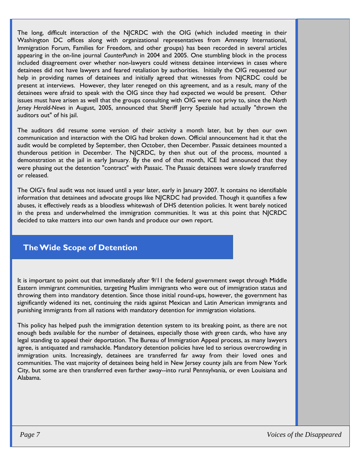The long, difficult interaction of the NJCRDC with the OIG (which included meeting in their Washington DC offices along with organizational representatives from Amnesty International, Immigration Forum, Families for Freedom, and other groups) has been recorded in several articles appearing in the on-line journal *CounterPunch* in 2004 and 2005. One stumbling block in the process included disagreement over whether non-lawyers could witness detainee interviews in cases where detainees did not have lawyers and feared retaliation by authorities. Initially the OIG requested our help in providing names of detainees and initially agreed that witnesses from NJCRDC could be present at interviews. However, they later reneged on this agreement, and as a result, many of the detainees were afraid to speak with the OIG since they had expected we would be present. Other issues must have arisen as well that the groups consulting with OIG were not privy to, since the *North Jersey Herald-News* in August, 2005, announced that Sheriff Jerry Speziale had actually "thrown the auditors out" of his jail.

The auditors did resume some version of their activity a month later, but by then our own communication and interaction with the OIG had broken down. Official announcement had it that the audit would be completed by September, then October, then December. Passaic detainees mounted a thunderous petition in December. The NJCRDC, by then shut out of the process, mounted a demonstration at the jail in early January. By the end of that month, ICE had announced that they were phasing out the detention "contract" with Passaic. The Passaic detainees were slowly transferred or released.

The OIG's final audit was not issued until a year later, early in January 2007. It contains no identifiable information that detainees and advocate groups like NJCRDC had provided. Though it quantifies a few abuses, it effectively reads as a bloodless whitewash of DHS detention policies. It went barely noticed in the press and underwhelmed the immigration communities. It was at this point that NJCRDC decided to take matters into our own hands and produce our own report.

## **The Wide Scope of Detention**

It is important to point out that immediately after 9/11 the federal government swept through Middle Eastern immigrant communities, targeting Muslim immigrants who were out of immigration status and throwing them into mandatory detention. Since those initial round-ups, however, the government has significantly widened its net, continuing the raids against Mexican and Latin American immigrants and punishing immigrants from all nations with mandatory detention for immigration violations.

This policy has helped push the immigration detention system to its breaking point, as there are not enough beds available for the number of detainees, especially those with green cards, who have any legal standing to appeal their deportation. The Bureau of Immigration Appeal process, as many lawyers agree, is antiquated and ramshackle. Mandatory detention policies have led to serious overcrowding in immigration units. Increasingly, detainees are transferred far away from their loved ones and communities. The vast majority of detainees being held in New Jersey county jails are from New York City, but some are then transferred even farther away--into rural Pennsylvania, or even Louisiana and Alabama.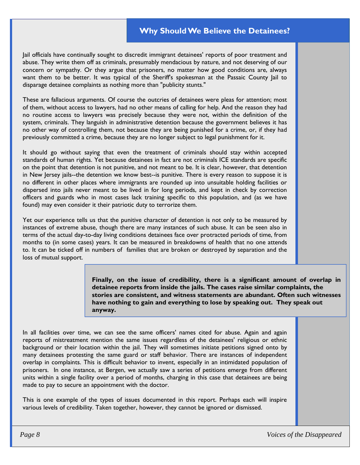## **Why Should We Believe the Detainees?**

Jail officials have continually sought to discredit immigrant detainees' reports of poor treatment and abuse. They write them off as criminals, presumably mendacious by nature, and not deserving of our concern or sympathy. Or they argue that prisoners, no matter how good conditions are, always want them to be better. It was typical of the Sheriff's spokesman at the Passaic County Jail to disparage detainee complaints as nothing more than "publicity stunts."

These are fallacious arguments. Of course the outcries of detainees were pleas for attention; most of them, without access to lawyers, had no other means of calling for help. And the reason they had no routine access to lawyers was precisely because they were not, within the definition of the system, criminals. They languish in administrative detention because the government believes it has no other way of controlling them, not because they are being punished for a crime, or, if they had previously committed a crime, because they are no longer subject to legal punishment for it.

It should go without saying that even the treatment of criminals should stay within accepted standards of human rights. Yet because detainees in fact are not criminals ICE standards are specific on the point that detention is not punitive, and not meant to be. It is clear, however, that detention in New Jersey jails--the detention we know best--is punitive. There is every reason to suppose it is no different in other places where immigrants are rounded up into unsuitable holding facilities or dispersed into jails never meant to be lived in for long periods, and kept in check by correction officers and guards who in most cases lack training specific to this population, and (as we have found) may even consider it their patriotic duty to terrorize them.

Yet our experience tells us that the punitive character of detention is not only to be measured by instances of extreme abuse, though there are many instances of such abuse. It can be seen also in terms of the actual day-to-day living conditions detainees face over protracted periods of time, from months to (in some cases) years. It can be measured in breakdowns of health that no one attends to. It can be ticked off in numbers of families that are broken or destroyed by separation and the loss of mutual support.

> **Finally, on the issue of credibility, there is a significant amount of overlap in detainee reports from inside the jails. The cases raise similar complaints, the stories are consistent, and witness statements are abundant. Often such witnesses have nothing to gain and everything to lose by speaking out. They speak out anyway.**

In all facilities over time, we can see the same officers' names cited for abuse. Again and again reports of mistreatment mention the same issues regardless of the detainees' religious or ethnic background or their location within the jail. They will sometimes initiate petitions signed onto by many detainees protesting the same guard or staff behavior. There are instances of independent overlap in complaints. This is difficult behavior to invent, especially in an intimidated population of prisoners. In one instance, at Bergen, we actually saw a series of petitions emerge from different units within a single facility over a period of months, charging in this case that detainees are being made to pay to secure an appointment with the doctor.

This is one example of the types of issues documented in this report. Perhaps each will inspire various levels of credibility. Taken together, however, they cannot be ignored or dismissed.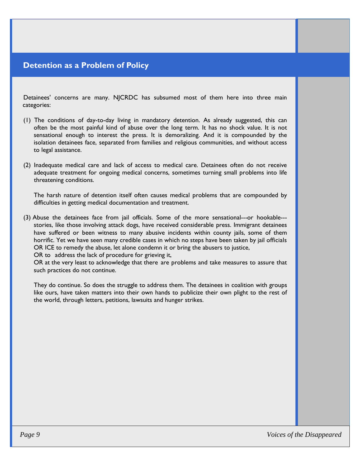## **Detention as a Problem of Policy**

Detainees' concerns are many. NJCRDC has subsumed most of them here into three main categories:

- (1) The conditions of day-to-day living in mandatory detention. As already suggested, this can often be the most painful kind of abuse over the long term. It has no shock value. It is not sensational enough to interest the press. It is demoralizing. And it is compounded by the isolation detainees face, separated from families and religious communities, and without access to legal assistance.
- (2) Inadequate medical care and lack of access to medical care. Detainees often do not receive adequate treatment for ongoing medical concerns, sometimes turning small problems into life threatening conditions.

 The harsh nature of detention itself often causes medical problems that are compounded by difficulties in getting medical documentation and treatment.

(3) Abuse the detainees face from jail officials. Some of the more sensational---or hookable-- stories, like those involving attack dogs, have received considerable press. Immigrant detainees have suffered or been witness to many abusive incidents within county jails, some of them horrific. Yet we have seen many credible cases in which no steps have been taken by jail officials OR ICE to remedy the abuse, let alone condemn it or bring the abusers to justice,

OR to address the lack of procedure for grieving it,

 OR at the very least to acknowledge that there are problems and take measures to assure that such practices do not continue.

 They do continue. So does the struggle to address them. The detainees in coalition with groups like ours, have taken matters into their own hands to publicize their own plight to the rest of the world, through letters, petitions, lawsuits and hunger strikes.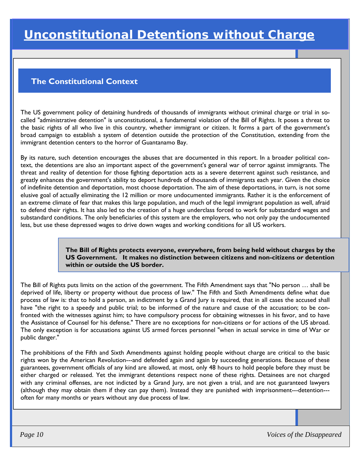## **The Constitutional Context**

The US government policy of detaining hundreds of thousands of immigrants without criminal charge or trial in socalled "administrative detention" is unconstitutional, a fundamental violation of the Bill of Rights. It poses a threat to the basic rights of all who live in this country, whether immigrant or citizen. It forms a part of the government's broad campaign to establish a system of detention outside the protection of the Constitution, extending from the immigrant detention centers to the horror of Guantanamo Bay.

By its nature, such detention encourages the abuses that are documented in this report. In a broader political context, the detentions are also an important aspect of the government's general war of terror against immigrants. The threat and reality of detention for those fighting deportation acts as a severe deterrent against such resistance, and greatly enhances the government's ability to deport hundreds of thousands of immigrants each year. Given the choice of indefinite detention and deportation, most choose deportation. The aim of these deportations, in turn, is not some elusive goal of actually eliminating the 12 million or more undocumented immigrants. Rather it is the enforcement of an extreme climate of fear that makes this large population, and much of the legal immigrant population as well, afraid to defend their rights. It has also led to the creation of a huge underclass forced to work for substandard wages and substandard conditions. The only beneficiaries of this system are the employers, who not only pay the undocumented less, but use these depressed wages to drive down wages and working conditions for all US workers.

> **The Bill of Rights protects everyone, everywhere, from being held without charges by the US Government. It makes no distinction between citizens and non-citizens or detention within or outside the US border.**

The Bill of Rights puts limits on the action of the government. The Fifth Amendment says that "No person … shall be deprived of life, liberty or property without due process of law." The Fifth and Sixth Amendments define what due process of law is: that to hold a person, an indictment by a Grand Jury is required, that in all cases the accused shall have "the right to a speedy and public trial; to be informed of the nature and cause of the accusation; to be confronted with the witnesses against him; to have compulsory process for obtaining witnesses in his favor, and to have the Assistance of Counsel for his defense." There are no exceptions for non-citizens or for actions of the US abroad. The only exception is for accusations against US armed forces personnel "when in actual service in time of War or public danger."

The prohibitions of the Fifth and Sixth Amendments against holding people without charge are critical to the basic rights won by the American Revolution---and defended again and again by succeeding generations. Because of these guarantees, government officials of any kind are allowed, at most, only 48 hours to hold people before they must be either charged or released. Yet the immigrant detentions respect none of these rights. Detainees are not charged with any criminal offenses, are not indicted by a Grand Jury, are not given a trial, and are not guaranteed lawyers (although they may obtain them if they can pay them). Instead they are punished with imprisonment---detention-- often for many months or years without any due process of law.

 *Page 10 Voices of the Disappeared*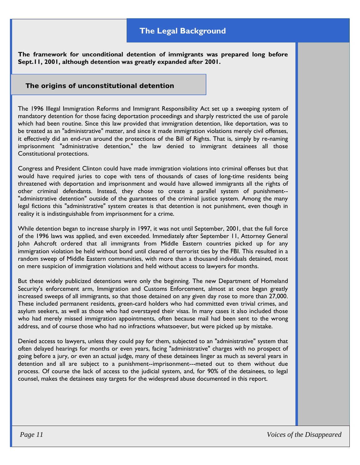## **The Legal Background**

**The framework for unconditional detention of immigrants was prepared long before Sept.11, 2001, although detention was greatly expanded after 2001.**

#### **The origins of unconstitutional detention**

The 1996 Illegal Immigration Reforms and Immigrant Responsibility Act set up a sweeping system of mandatory detention for those facing deportation proceedings and sharply restricted the use of parole which had been routine. Since this law provided that immigration detention, like deportation, was to be treated as an "administrative" matter, and since it made immigration violations merely civil offenses, it effectively did an end-run around the protections of the Bill of Rights. That is, simply by re-naming imprisonment "administrative detention," the law denied to immigrant detainees all those Constitutional protections.

Congress and President Clinton could have made immigration violations into criminal offenses but that would have required juries to cope with tens of thousands of cases of long-time residents being threatened with deportation and imprisonment and would have allowed immigrants all the rights of other criminal defendants. Instead, they chose to create a parallel system of punishment-- "administrative detention" outside of the guarantees of the criminal justice system. Among the many legal fictions this "administrative" system creates is that detention is not punishment, even though in reality it is indistinguishable from imprisonment for a crime.

While detention began to increase sharply in 1997, it was not until September, 2001, that the full force of the 1996 laws was applied, and even exceeded. Immediately after September 11, Attorney General John Ashcroft ordered that all immigrants from Middle Eastern countries picked up for any immigration violation be held without bond until cleared of terrorist ties by the FBI. This resulted in a random sweep of Middle Eastern communities, with more than a thousand individuals detained, most on mere suspicion of immigration violations and held without access to lawyers for months.

But these widely publicized detentions were only the beginning. The new Department of Homeland Security's enforcement arm, Immigration and Customs Enforcement, almost at once began greatly increased sweeps of all immigrants, so that those detained on any given day rose to more than 27,000. These included permanent residents, green-card holders who had committed even trivial crimes, and asylum seekers, as well as those who had overstayed their visas. In many cases it also included those who had merely missed immigration appointments, often because mail had been sent to the wrong address, and of course those who had no infractions whatsoever, but were picked up by mistake.

Denied access to lawyers, unless they could pay for them, subjected to an "administrative" system that often delayed hearings for months or even years, facing "administrative" charges with no prospect of going before a jury, or even an actual judge, many of these detainees linger as much as several years in detention and all are subject to a punishment--imprisonment---meted out to them without due process. Of course the lack of access to the judicial system, and, for 90% of the detainees, to legal counsel, makes the detainees easy targets for the widespread abuse documented in this report.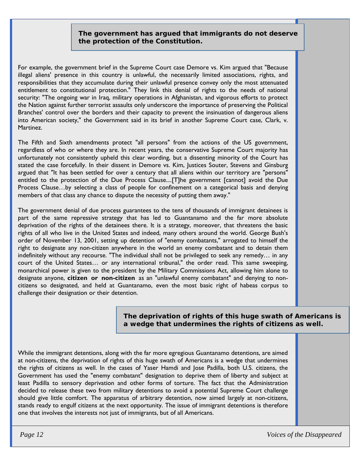#### **The government has argued that immigrants do not deserve the protection of the Constitution.**

For example, the government brief in the Supreme Court case Demore vs. Kim argued that "Because illegal aliens' presence in this country is unlawful, the necessarily limited associations, rights, and responsibilities that they accumulate during their unlawful presence convey only the most attenuated entitlement to constitutional protection." They link this denial of rights to the needs of national security: "The ongoing war in Iraq, military operations in Afghanistan, and vigorous efforts to protect the Nation against further terrorist assaults only underscore the importance of preserving the Political Branches' control over the borders and their capacity to prevent the insinuation of dangerous aliens into American society," the Government said in its brief in another Supreme Court case, Clark, v. Martinez.

The Fifth and Sixth amendments protect "all persons" from the actions of the US government, regardless of who or where they are. In recent years, the conservative Supreme Court majority has unfortunately not consistently upheld this clear wording, but a dissenting minority of the Court has stated the case forcefully. In their dissent in Demore vs. Kim, Justices Souter, Stevens and Ginsburg argued that "It has been settled for over a century that all aliens within our territory are "persons" entitled to the protection of the Due Process Clause....[T]he government [cannot] avoid the Due Process Clause…by selecting a class of people for confinement on a categorical basis and denying members of that class any chance to dispute the necessity of putting them away."

The government denial of due process guarantees to the tens of thousands of immigrant detainees is part of the same repressive strategy that has led to Guantanamo and the far more absolute deprivation of the rights of the detainees there. It is a strategy, moreover, that threatens the basic rights of all who live in the United States and indeed, many others around the world. George Bush's order of November 13, 2001, setting up detention of "enemy combatants," arrogated to himself the right to designate any non-citizen anywhere in the world an enemy combatant and to detain them indefinitely without any recourse. "The individual shall not be privileged to seek any remedy… in any court of the United States… or any international tribunal," the order read. This same sweeping, monarchical power is given to the president by the Military Commissions Act, allowing him alone to designate anyone, **citizen or non-citizen** as an "unlawful enemy combatant" and denying to noncitizens so designated, and held at Guantanamo, even the most basic right of habeas corpus to challenge their designation or their detention.

#### **The deprivation of rights of this huge swath of Americans is a wedge that undermines the rights of citizens as well.**

While the immigrant detentions, along with the far more egregious Guantanamo detentions, are aimed at non-citizens, the deprivation of rights of this huge swath of Americans is a wedge that undermines the rights of citizens as well. In the cases of Yaser Hamdi and Jose Padilla, both U.S. citizens, the Government has used the "enemy combatant" designation to deprive them of liberty and subject at least Padilla to sensory deprivation and other forms of torture. The fact that the Administration decided to release these two from military detentions to avoid a potential Supreme Court challenge should give little comfort. The apparatus of arbitrary detention, now aimed largely at non-citizens, stands ready to engulf citizens at the next opportunity. The issue of immigrant detentions is therefore one that involves the interests not just of immigrants, but of all Americans.

 *Page 12 Voices of the Disappeared*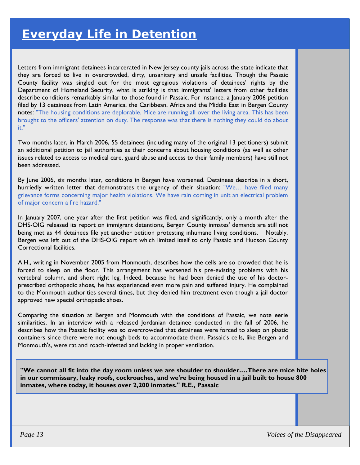Letters from immigrant detainees incarcerated in New Jersey county jails across the state indicate that they are forced to live in overcrowded, dirty, unsanitary and unsafe facilities. Though the Passaic County facility was singled out for the most egregious violations of detainees' rights by the Department of Homeland Security, what is striking is that immigrants' letters from other facilities describe conditions remarkably similar to those found in Passaic. For instance, a January 2006 petition filed by 13 detainees from Latin America, the Caribbean, Africa and the Middle East in Bergen County notes: "The housing conditions are deplorable. Mice are running all over the living area. This has been brought to the officers' attention on duty. The response was that there is nothing they could do about it."

Two months later, in March 2006, 55 detainees (including many of the original 13 petitioners) submit an additional petition to jail authorities as their concerns about housing conditions (as well as other issues related to access to medical care, guard abuse and access to their family members) have still not been addressed.

By June 2006, six months later, conditions in Bergen have worsened. Detainees describe in a short, hurriedly written letter that demonstrates the urgency of their situation: "We… have filed many grievance forms concerning major health violations. We have rain coming in unit an electrical problem of major concern a fire hazard."

In January 2007, one year after the first petition was filed, and significantly, only a month after the DHS-OIG released its report on immigrant detentions, Bergen County inmates' demands are still not being met as 44 detainees file yet another petition protesting inhumane living conditions. Notably, Bergen was left out of the DHS-OIG report which limited itself to only Passaic and Hudson County Correctional facilities.

A.H., writing in November 2005 from Monmouth, describes how the cells are so crowded that he is forced to sleep on the floor. This arrangement has worsened his pre-existing problems with his vertebral column, and short right leg. Indeed, because he had been denied the use of his doctorprescribed orthopedic shoes, he has experienced even more pain and suffered injury. He complained to the Monmouth authorities several times, but they denied him treatment even though a jail doctor approved new special orthopedic shoes.

Comparing the situation at Bergen and Monmouth with the conditions of Passaic, we note eerie similarities. In an interview with a released Jordanian detainee conducted in the fall of 2006, he describes how the Passaic facility was so overcrowded that detainees were forced to sleep on plastic containers since there were not enough beds to accommodate them. Passaic's cells, like Bergen and Monmouth's, were rat and roach-infested and lacking in proper ventilation.

**"We cannot all fit into the day room unless we are shoulder to shoulder.…There are mice bite holes in our commissary, leaky roofs, cockroaches, and we're being housed in a jail built to house 800 inmates, where today, it houses over 2,200 inmates." R.E., Passaic**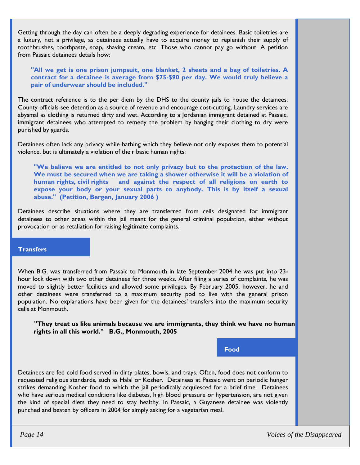Getting through the day can often be a deeply degrading experience for detainees. Basic toiletries are a luxury, not a privilege, as detainees actually have to acquire money to replenish their supply of toothbrushes, toothpaste, soap, shaving cream, etc. Those who cannot pay go without. A petition from Passaic detainees details how:

**"All we get is one prison jumpsuit, one blanket, 2 sheets and a bag of toiletries. A contract for a detainee is average from \$75-\$90 per day. We would truly believe a pair of underwear should be included."** 

The contract reference is to the per diem by the DHS to the county jails to house the detainees. County officials see detention as a source of revenue and encourage cost-cutting. Laundry services are abysmal as clothing is returned dirty and wet. According to a Jordanian immigrant detained at Passaic, immigrant detainees who attempted to remedy the problem by hanging their clothing to dry were punished by guards.

Detainees often lack any privacy while bathing which they believe not only exposes them to potential violence, but is ultimately a violation of their basic human rights:

**"We believe we are entitled to not only privacy but to the protection of the law. We must be secured when we are taking a shower otherwise it will be a violation of human rights, civil rights and against the respect of all religions on earth to expose your body or your sexual parts to anybody. This is by itself a sexual abuse." (Petition, Bergen, January 2006 )**

Detainees describe situations where they are transferred from cells designated for immigrant detainees to other areas within the jail meant for the general criminal population, either without provocation or as retaliation for raising legitimate complaints.

#### **Transfers**

When B.G. was transferred from Passaic to Monmouth in late September 2004 he was put into 23 hour lock down with two other detainees for three weeks. After filing a series of complaints, he was moved to slightly better facilities and allowed some privileges. By February 2005, however, he and other detainees were transferred to a maximum security pod to live with the general prison population. No explanations have been given for the detainees' transfers into the maximum security cells at Monmouth.

**"They treat us like animals because we are immigrants, they think we have no human rights in all this world." B.G., Monmouth, 2005** 

**Food** 

Detainees are fed cold food served in dirty plates, bowls, and trays. Often, food does not conform to requested religious standards, such as Halal or Kosher. Detainees at Passaic went on periodic hunger strikes demanding Kosher food to which the jail periodically acquiesced for a brief time. Detainees who have serious medical conditions like diabetes, high blood pressure or hypertension, are not given the kind of special diets they need to stay healthy. In Passaic, a Guyanese detainee was violently punched and beaten by officers in 2004 for simply asking for a vegetarian meal.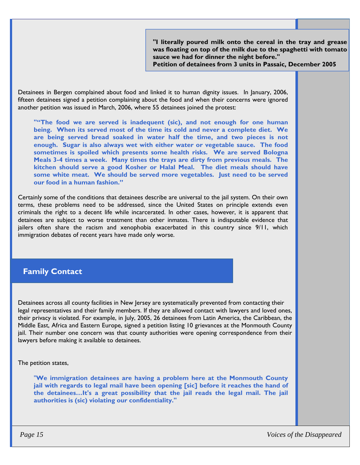**"I literally poured milk onto the cereal in the tray and grease was floating on top of the milk due to the spaghetti with tomato sauce we had for dinner the night before."** 

**Petition of detainees from 3 units in Passaic, December 2005** 

Detainees in Bergen complained about food and linked it to human dignity issues. In January, 2006, fifteen detainees signed a petition complaining about the food and when their concerns were ignored another petition was issued in March, 2006, where 55 detainees joined the protest:

**""The food we are served is inadequent (sic), and not enough for one human being. When its served most of the time its cold and never a complete diet. We are being served bread soaked in water half the time, and two pieces is not enough. Sugar is also always wet with either water or vegetable sauce. The food sometimes is spoiled which presents some health risks. We are served Bologna Meals 3-4 times a week. Many times the trays are dirty from previous meals. The kitchen should serve a good Kosher or Halal Meal. The diet meals should have some white meat. We should be served more vegetables. Just need to be served our food in a human fashion."** 

Certainly some of the conditions that detainees describe are universal to the jail system. On their own terms, these problems need to be addressed, since the United States on principle extends even criminals the right to a decent life while incarcerated. In other cases, however, it is apparent that detainees are subject to worse treatment than other inmates. There is indisputable evidence that jailers often share the racism and xenophobia exacerbated in this country since 9/11, which immigration debates of recent years have made only worse.

## **Family Contact**

Detainees across all county facilities in New Jersey are systematically prevented from contacting their legal representatives and their family members. If they are allowed contact with lawyers and loved ones, their privacy is violated. For example, in July, 2005, 26 detainees from Latin America, the Caribbean, the Middle East, Africa and Eastern Europe, signed a petition listing 10 grievances at the Monmouth County jail. Their number one concern was that county authorities were opening correspondence from their lawyers before making it available to detainees.

The petition states,

"**We immigration detainees are having a problem here at the Monmouth County jail with regards to legal mail have been opening [sic] before it reaches the hand of the detainees…It's a great possibility that the jail reads the legal mail. The jail authorities is (sic) violating our confidentiality."**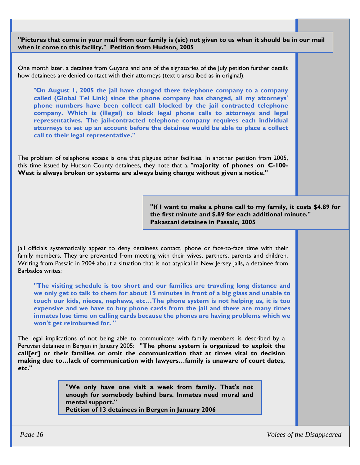**"Pictures that come in your mail from our family is (sic) not given to us when it should be in our mail when it come to this facility." Petition from Hudson, 2005**

One month later, a detainee from Guyana and one of the signatories of the July petition further details how detainees are denied contact with their attorneys (text transcribed as in original):

 "**On August 1, 2005 the jail have changed there telephone company to a company called (Global Tel Link) since the phone company has changed, all my attorneys' phone numbers have been collect call blocked by the jail contracted telephone company. Which is (illegal) to block legal phone calls to attorneys and legal representatives. The jail-contracted telephone company requires each individual attorneys to set up an account before the detainee would be able to place a collect call to their legal representative."** 

The problem of telephone access is one that plagues other facilities. In another petition from 2005, this time issued by Hudson County detainees, they note that a, "**majority of phones on C-100- West is always broken or systems are always being change without given a notice."** 

> **"If I want to make a phone call to my family, it costs \$4.89 for the first minute and \$.89 for each additional minute." Pakastani detainee in Passaic, 2005**

Jail officials systematically appear to deny detainees contact, phone or face-to-face time with their family members. They are prevented from meeting with their wives, partners, parents and children. Writing from Passaic in 2004 about a situation that is not atypical in New Jersey jails, a detainee from Barbados writes:

**"The visiting schedule is too short and our families are traveling long distance and we only get to talk to them for about 15 minutes in front of a big glass and unable to touch our kids, nieces, nephews, etc…The phone system is not helping us, it is too expensive and we have to buy phone cards from the jail and there are many times inmates lose time on calling cards because the phones are having problems which we won't get reimbursed for. "** 

The legal implications of not being able to communicate with family members is described by a Peruvian detainee in Bergen in January 2005: **"The phone system is organized to exploit the call[er] or their families or omit the communication that at times vital to decision making due to…lack of communication with lawyers…family is unaware of court dates, etc."** 

> **"We only have one visit a week from family. That's not enough for somebody behind bars. Inmates need moral and mental support."**

**Petition of 13 detainees in Bergen in January 2006** 

 *Page 16 Voices of the Disappeared*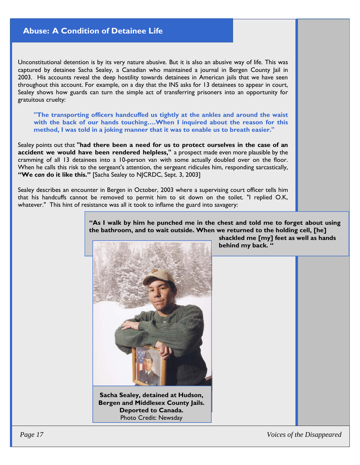## **Abuse: A Condition of Detainee Life**

Unconstitutional detention is by its very nature abusive. But it is also an abusive way of life. This was captured by detainee Sacha Sealey, a Canadian who maintained a journal in Bergen County Jail in 2003. His accounts reveal the deep hostility towards detainees in American jails that we have seen throughout this account. For example, on a day that the INS asks for 13 detainees to appear in court, Sealey shows how guards can turn the simple act of transferring prisoners into an opportunity for gratuitous cruelty:

**"The transporting officers handcuffed us tightly at the ankles and around the waist with the back of our hands touching….When I inquired about the reason for this method, I was told in a joking manner that it was to enable us to breath easier."** 

Sealey points out that **"had there been a need for us to protect ourselves in the case of an accident we would have been rendered helpless,"** a prospect made even more plausible by the cramming of all 13 detainees into a 10-person van with some actually doubled over on the floor. When he calls this risk to the sergeant's attention, the sergeant ridicules him, responding sarcastically, **"We** *can* **do it like this."** [Sacha Sealey to NJCRDC, Sept. 3, 2003]

Sealey describes an encounter in Bergen in October, 2003 where a supervising court officer tells him that his handcuffs cannot be removed to permit him to sit down on the toilet. "I replied O.K, whatever." This hint of resistance was all it took to inflame the guard into savagery:

> **"As I walk by him he punched me in the chest and told me to forget about using the bathroom, and to wait outside. When we returned to the holding cell, [he]**



**Sacha Sealey, detained at Hudson, Bergen and Middlesex County Jails. Deported to Canada.**  Photo Credit: Newsday

 **shackled me [my] feet as well as hands behind my back. "**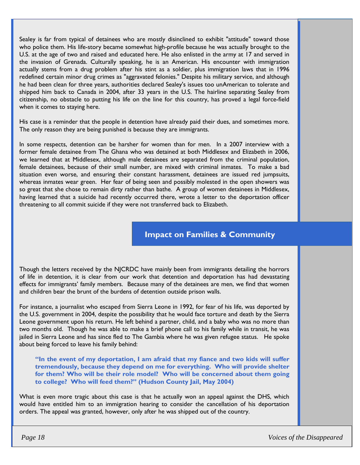Sealey is far from typical of detainees who are mostly disinclined to exhibit "attitude" toward those who police them. His life-story became somewhat high-profile because he was actually brought to the U.S. at the age of two and raised and educated here. He also enlisted in the army at 17 and served in the invasion of Grenada. Culturally speaking, he is an American. His encounter with immigration actually stems from a drug problem after his stint as a soldier, plus immigration laws that in 1996 redefined certain minor drug crimes as "aggravated felonies." Despite his military service, and although he had been clean for three years, authorities declared Sealey's issues too unAmerican to tolerate and shipped him back to Canada in 2004, after 33 years in the U.S. The hairline separating Sealey from citizenship, no obstacle to putting his life on the line for this country, has proved a legal force-field when it comes to staying here.

His case is a reminder that the people in detention have already paid their dues, and sometimes more. The only reason they are being punished is because they are immigrants.

In some respects, detention can be harsher for women than for men. In a 2007 interview with a former female detainee from The Ghana who was detained at both Middlesex and Elizabeth in 2006, we learned that at Middlesex, although male detainees are separated from the criminal population, female detainees, because of their small number, are mixed with criminal inmates. To make a bad situation even worse, and ensuring their constant harassment, detainees are issued red jumpsuits, whereas inmates wear green. Her fear of being seen and possibly molested in the open showers was so great that she chose to remain dirty rather than bathe. A group of women detainees in Middlesex, having learned that a suicide had recently occurred there, wrote a letter to the deportation officer threatening to all commit suicide if they were not transferred back to Elizabeth.

## **Impact on Families & Community**

Though the letters received by the NJCRDC have mainly been from immigrants detailing the horrors of life in detention, it is clear from our work that detention and deportation has had devastating effects for immigrants' family members. Because many of the detainees are men, we find that women and children bear the brunt of the burdens of detention outside prison walls.

For instance, a journalist who escaped from Sierra Leone in 1992, for fear of his life, was deported by the U.S. government in 2004, despite the possibility that he would face torture and death by the Sierra Leone government upon his return. He left behind a partner, child, and a baby who was no more than two months old. Though he was able to make a brief phone call to his family while in transit, he was jailed in Sierra Leone and has since fled to The Gambia where he was given refugee status. He spoke about being forced to leave his family behind:

**"In the event of my deportation, I am afraid that my fiance and two kids will suffer tremendously, because they depend on me for everything. Who will provide shelter for them? Who will be their role model? Who will be concerned about them going to college? Who will feed them?" (Hudson County Jail, May 2004)** 

What is even more tragic about this case is that he actually won an appeal against the DHS, which would have entitled him to an immigration hearing to consider the cancellation of his deportation orders. The appeal was granted, however, only after he was shipped out of the country.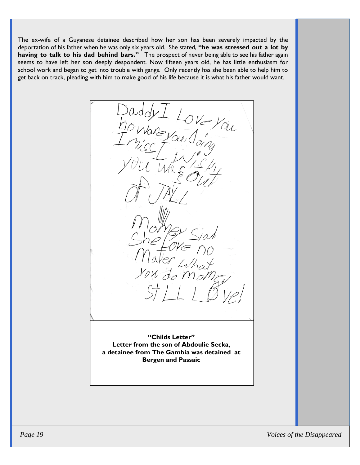The ex-wife of a Guyanese detainee described how her son has been severely impacted by the deportation of his father when he was only six years old. She stated, **"he was stressed out a lot by having to talk to his dad behind bars."** The prospect of never being able to see his father again seems to have left her son deeply despondent. Now fifteen years old, he has little enthusiasm for school work and began to get into trouble with gangs. Only recently has she been able to help him to get back on track, pleading with him to make good of his life because it is what his father would want.

W - LOVE You

**"Childs Letter" Letter from the son of Abdoulie Secka, a detainee from The Gambia was detained at Bergen and Passaic**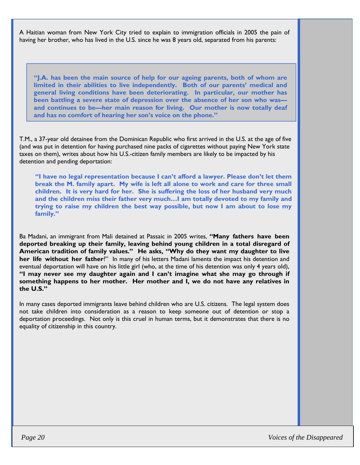A Haitian woman from New York City tried to explain to immigration officials in 2005 the pain of having her brother, who has lived in the U.S. since he was 8 years old, separated from his parents:

**"J.A. has been the main source of help for our ageing parents, both of whom are limited in their abilities to live independently. Both of our parents' medical and general living conditions have been deteriorating. In particular, our mother has been battling a severe state of depression over the absence of her son who was and continues to be—her main reason for living. Our mother is now totally deaf and has no comfort of hearing her son's voice on the phone."** 

T.M., a 37-year old detainee from the Dominican Republic who first arrived in the U.S. at the age of five (and was put in detention for having purchased nine packs of cigarettes without paying New York state taxes on them), writes about how his U.S.-citizen family members are likely to be impacted by his detention and pending deportation:

**"I have no legal representation because I can't afford a lawyer. Please don't let them break the M. family apart. My wife is left all alone to work and care for three small children. It is very hard for her. She is suffering the loss of her husband very much and the children miss their father very much…I am totally devoted to my family and trying to raise my children the best way possible, but now I am about to lose my family."**

Ba Madani, an immigrant from Mali detained at Passaic in 2005 writes, **"Many fathers have been deported breaking up their family, leaving behind young children in a total disregard of American tradition of family values." He asks, "Why do they want my daughter to live her life without her father**?" In many of his letters Madani laments the impact his detention and eventual deportation will have on his little girl (who, at the time of his detention was only 4 years old), **"I may never see my daughter again and I can't imagine what she may go through if something happens to her mother. Her mother and I, we do not have any relatives in the U.S."**

In many cases deported immigrants leave behind children who are U.S. citizens. The legal system does not take children into consideration as a reason to keep someone out of detention or stop a deportation proceedings. Not only is this cruel in human terms, but it demonstrates that there is no equality of citizenship in this country.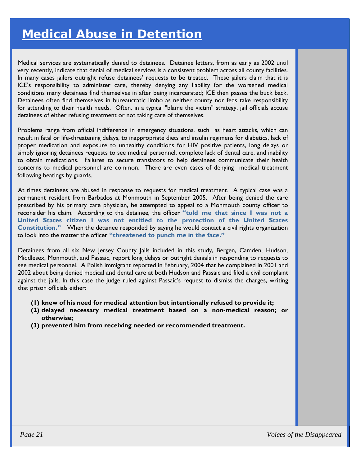## *Medical Abuse in Detention*

Medical services are systematically denied to detainees. Detainee letters, from as early as 2002 until very recently, indicate that denial of medical services is a consistent problem across all county facilities. In many cases jailers outright refuse detainees' requests to be treated. These jailers claim that it is ICE's responsibility to administer care, thereby denying any liability for the worsened medical conditions many detainees find themselves in after being incarcerated; ICE then passes the buck back. Detainees often find themselves in bureaucratic limbo as neither county nor feds take responsibility for attending to their health needs. Often, in a typical "blame the victim" strategy, jail officials accuse detainees of either refusing treatment or not taking care of themselves.

Problems range from official indifference in emergency situations, such as heart attacks, which can result in fatal or life-threatening delays, to inappropriate diets and insulin regimens for diabetics, lack of proper medication and exposure to unhealthy conditions for HIV positive patients, long delays or simply ignoring detainees requests to see medical personnel, complete lack of dental care, and inability to obtain medications. Failures to secure translators to help detainees communicate their health concerns to medical personnel are common. There are even cases of denying medical treatment following beatings by guards.

At times detainees are abused in response to requests for medical treatment. A typical case was a permanent resident from Barbados at Monmouth in September 2005. After being denied the care prescribed by his primary care physician, he attempted to appeal to a Monmouth county officer to reconsider his claim. According to the detainee, the officer **"told me that since I was not a United States citizen I was not entitled to the protection of the United States Constitution."** When the detainee responded by saying he would contact a civil rights organization to look into the matter the officer **"threatened to punch me in the face."** 

Detainees from all six New Jersey County Jails included in this study, Bergen, Camden, Hudson, Middlesex, Monmouth, and Passaic, report long delays or outright denials in responding to requests to see medical personnel. A Polish immigrant reported in February, 2004 that he complained in 2001 and 2002 about being denied medical and dental care at both Hudson and Passaic and filed a civil complaint against the jails. In this case the judge ruled against Passaic's request to dismiss the charges, writing that prison officials either:

- **(1) knew of his need for medical attention but intentionally refused to provide it;**
- **(2) delayed necessary medical treatment based on a non-medical reason; or otherwise;**
- **(3) prevented him from receiving needed or recommended treatment.**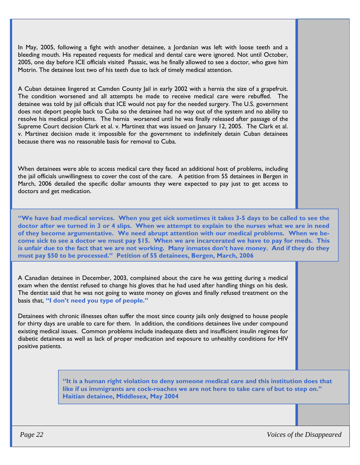In May, 2005, following a fight with another detainee, a Jordanian was left with loose teeth and a bleeding mouth. His repeated requests for medical and dental care were ignored. Not until October, 2005, one day before ICE officials visited Passaic, was he finally allowed to see a doctor, who gave him Motrin. The detainee lost two of his teeth due to lack of timely medical attention.

A Cuban detainee lingered at Camden County Jail in early 2002 with a hernia the size of a grapefruit. The condition worsened and all attempts he made to receive medical care were rebuffed. The detainee was told by jail officials that ICE would not pay for the needed surgery. The U.S. government does not deport people back to Cuba so the detainee had no way out of the system and no ability to resolve his medical problems. The hernia worsened until he was finally released after passage of the Supreme Court decision Clark et al. v. Martinez that was issued on January 12, 2005. The Clark et al. v. Martinez decision made it impossible for the government to indefinitely detain Cuban detainees because there was no reasonable basis for removal to Cuba.

When detainees were able to access medical care they faced an additional host of problems, including the jail officials unwillingness to cover the cost of the care. A petition from 55 detainees in Bergen in March, 2006 detailed the specific dollar amounts they were expected to pay just to get access to doctors and get medication.

**"We have bad medical services. When you get sick sometimes it takes 3-5 days to be called to see the doctor after we turned in 3 or 4 slips. When we attempt to explain to the nurses what we are in need of they become argumentative. We need abrupt attention with our medical problems. When we become sick to see a doctor we must pay \$15. When we are incarcerated we have to pay for meds. This is unfair due to the fact that we are not working. Many inmates don't have money. And if they do they must pay \$50 to be processed." Petition of 55 detainees, Bergen, March, 2006** 

A Canadian detainee in December, 2003, complained about the care he was getting during a medical exam when the dentist refused to change his gloves that he had used after handling things on his desk. The dentist said that he was not going to waste money on gloves and finally refused treatment on the basis that, **"I don't need you type of people."**

Detainees with chronic illnesses often suffer the most since county jails only designed to house people for thirty days are unable to care for them. In addition, the conditions detainees live under compound existing medical issues. Common problems include inadequate diets and insufficient insulin regimes for diabetic detainees as well as lack of proper medication and exposure to unhealthy conditions for HIV positive patients.

> **"It is a human right violation to deny someone medical care and this institution does that like if us immigrants are cock-roaches we are not here to take care of but to step on." Haitian detainee, Middlesex, May 2004**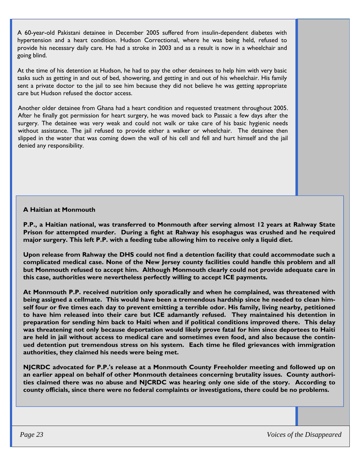A 60-year-old Pakistani detainee in December 2005 suffered from insulin-dependent diabetes with hypertension and a heart condition. Hudson Correctional, where he was being held, refused to provide his necessary daily care. He had a stroke in 2003 and as a result is now in a wheelchair and going blind.

At the time of his detention at Hudson, he had to pay the other detainees to help him with very basic tasks such as getting in and out of bed, showering, and getting in and out of his wheelchair. His family sent a private doctor to the jail to see him because they did not believe he was getting appropriate care but Hudson refused the doctor access.

Another older detainee from Ghana had a heart condition and requested treatment throughout 2005. After he finally got permission for heart surgery, he was moved back to Passaic a few days after the surgery. The detainee was very weak and could not walk or take care of his basic hygienic needs without assistance. The jail refused to provide either a walker or wheelchair. The detainee then slipped in the water that was coming down the wall of his cell and fell and hurt himself and the jail denied any responsibility.

#### **A Haitian at Monmouth**

**P.P., a Haitian national, was transferred to Monmouth after serving almost 12 years at Rahway State Prison for attempted murder. During a fight at Rahway his esophagus was crushed and he required major surgery. This left P.P. with a feeding tube allowing him to receive only a liquid diet.** 

**Upon release from Rahway the DHS could not find a detention facility that could accommodate such a complicated medical case. None of the New Jersey county facilities could handle this problem and all but Monmouth refused to accept him. Although Monmouth clearly could not provide adequate care in this case, authorities were nevertheless perfectly willing to accept ICE payments.** 

**At Monmouth P.P. received nutrition only sporadically and when he complained, was threatened with being assigned a cellmate. This would have been a tremendous hardship since he needed to clean himself four or five times each day to prevent emitting a terrible odor. His family, living nearby, petitioned to have him released into their care but ICE adamantly refused. They maintained his detention in preparation for sending him back to Haiti when and if political conditions improved there. This delay was threatening not only because deportation would likely prove fatal for him since deportees to Haiti are held in jail without access to medical care and sometimes even food, and also because the continued detention put tremendous stress on his system. Each time he filed grievances with immigration authorities, they claimed his needs were being met.** 

**NJCRDC advocated for P.P.'s release at a Monmouth County Freeholder meeting and followed up on an earlier appeal on behalf of other Monmouth detainees concerning brutality issues. County authorities claimed there was no abuse and NJCRDC was hearing only one side of the story. According to county officials, since there were no federal complaints or investigations, there could be no problems.**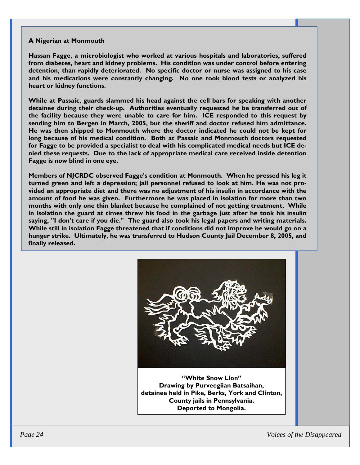#### **A Nigerian at Monmouth**

**Hassan Fagge, a microbiologist who worked at various hospitals and laboratories, suffered from diabetes, heart and kidney problems. His condition was under control before entering detention, than rapidly deteriorated. No specific doctor or nurse was assigned to his case and his medications were constantly changing. No one took blood tests or analyzed his heart or kidney functions.** 

**While at Passaic, guards slammed his head against the cell bars for speaking with another detainee during their check-up. Authorities eventually requested he be transferred out of the facility because they were unable to care for him. ICE responded to this request by sending him to Bergen in March, 2005, but the sheriff and doctor refused him admittance. He was then shipped to Monmouth where the doctor indicated he could not be kept for long because of his medical condition. Both at Passaic and Monmouth doctors requested for Fagge to be provided a specialist to deal with his complicated medical needs but ICE denied these requests. Due to the lack of appropriate medical care received inside detention Fagge is now blind in one eye.** 

**Members of NJCRDC observed Fagge's condition at Monmouth. When he pressed his leg it turned green and left a depression; jail personnel refused to look at him. He was not provided an appropriate diet and there was no adjustment of his insulin in accordance with the amount of food he was given. Furthermore he was placed in isolation for more than two months with only one thin blanket because he complained of not getting treatment. While in isolation the guard at times threw his food in the garbage just after he took his insulin saying, "I don't care if you die." The guard also took his legal papers and writing materials. While still in isolation Fagge threatened that if conditions did not improve he would go on a hunger strike. Ultimately, he was transferred to Hudson County Jail December 8, 2005, and finally released.** 



**"White Snow Lion" Drawing by Purveegiian Batsaihan, detainee held in Pike, Berks, York and Clinton, County jails in Pennsylvania. Deported to Mongolia.** 

 *Page 24 Voices of the Disappeared*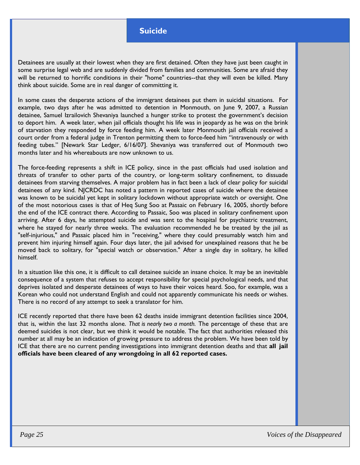#### **Suicide**

Detainees are usually at their lowest when they are first detained. Often they have just been caught in some surprise legal web and are suddenly divided from families and communities. Some are afraid they will be returned to horrific conditions in their "home" countries--that they will even be killed. Many think about suicide. Some are in real danger of committing it.

In some cases the desperate actions of the immigrant detainees put them in suicidal situations. For example, two days after he was admitted to detention in Monmouth, on June 9, 2007, a Russian detainee, Samuel Izrailovich Shevaniya launched a hunger strike to protest the government's decision to deport him. A week later, when jail officials thought his life was in jeopardy as he was on the brink of starvation they responded by force feeding him. A week later Monmouth jail officials received a court order from a federal judge in Trenton permitting them to force-feed him "intravenously or with feeding tubes." [Newark Star Ledger, 6/16/07]. Shevaniya was transferred out of Monmouth two months later and his whereabouts are now unknown to us.

The force-feeding represents a shift in ICE policy, since in the past officials had used isolation and threats of transfer to other parts of the country, or long-term solitary confinement, to dissuade detainees from starving themselves. A major problem has in fact been a lack of clear policy for suicidal detainees of any kind. NJCRDC has noted a pattern in reported cases of suicide where the detainee was known to be suicidal yet kept in solitary lockdown without appropriate watch or oversight. One of the most notorious cases is that of Heq Sung Soo at Passaic on February 16, 2005, shortly before the end of the ICE contract there. According to Passaic, Soo was placed in solitary confinement upon arriving. After 6 days, he attempted suicide and was sent to the hospital for psychiatric treatment, where he stayed for nearly three weeks. The evaluation recommended he be treated by the jail as "self-injurious," and Passaic placed him in "receiving," where they could presumably watch him and prevent him injuring himself again. Four days later, the jail advised for unexplained reasons that he be moved back to solitary, for "special watch or observation." After a single day in solitary, he killed himself.

In a situation like this one, it is difficult to call detainee suicide an insane choice. It may be an inevitable consequence of a system that refuses to accept responsibility for special psychological needs, and that deprives isolated and desperate detainees of ways to have their voices heard. Soo, for example, was a Korean who could not understand English and could not apparently communicate his needs or wishes. There is no record of any attempt to seek a translator for him.

ICE recently reported that there have been 62 deaths inside immigrant detention facilities since 2004, that is, within the last 32 months alone. *That is nearly two a month.* The percentage of these that are deemed suicides is not clear, but we think it would be notable. The fact that authorities released this number at all may be an indication of growing pressure to address the problem. We have been told by ICE that there are no current pending investigations into immigrant detention deaths and that **all jail officials have been cleared of any wrongdoing in all 62 reported cases.**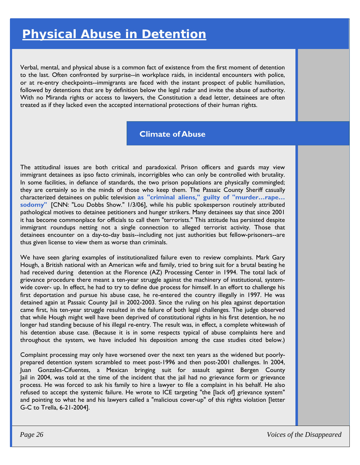Verbal, mental, and physical abuse is a common fact of existence from the first moment of detention to the last. Often confronted by surprise--in workplace raids, in incidental encounters with police, or at re-entry checkpoints--immigrants are faced with the instant prospect of public humiliation, followed by detentions that are by definition below the legal radar and invite the abuse of authority. With no Miranda rights or access to lawyers, the Constitution a dead letter, detainees are often treated as if they lacked even the accepted international protections of their human rights.

## **Climate of Abuse**

The attitudinal issues are both critical and paradoxical. Prison officers and guards may view immigrant detainees as ipso facto criminals, incorrigibles who can only be controlled with brutality. In some facilities, in defiance of standards, the two prison populations are physically commingled; they are certainly so in the minds of those who keep them. The Passaic County Sheriff casually characterized detainees on public television **as "criminal aliens," guilty of "murder…rape… sodomy"** [CNN: "Lou Dobbs Show." 1/3/06], while his public spokesperson routinely attributed pathological motives to detainee petitioners and hunger strikers. Many detainees say that since 2001 it has become commonplace for officials to call them "terrorists." This attitude has persisted despite immigrant roundups netting not a single connection to alleged terrorist activity. Those that detainees encounter on a day-to-day basis--including not just authorities but fellow-prisoners--are thus given license to view them as worse than criminals.

We have seen glaring examples of institutionalized failure even to review complaints. Mark Gary Hough, a British national with an American wife and family, tried to bring suit for a brutal beating he had received during detention at the Florence (AZ) Processing Center in 1994. The total lack of grievance procedure there meant a ten-year struggle against the machinery of institutional, systemwide cover- up. In effect, he had to try to define due process for himself. In an effort to challenge his first deportation and pursue his abuse case, he re-entered the country illegally in 1997. He was detained again at Passaic County Jail in 2002-2003. Since the ruling on his plea against deportation came first, his ten-year struggle resulted in the failure of both legal challenges. The judge observed that while Hough might well have been deprived of constitutional rights in his first detention, he no longer had standing because of his illegal re-entry. The result was, in effect, a complete whitewash of his detention abuse case. (Because it is in some respects typical of abuse complaints here and throughout the system, we have included his deposition among the case studies cited below.)

Complaint processing may only have worsened over the next ten years as the widened but poorlyprepared detention system scrambled to meet post-1996 and then post-2001 challenges. In 2004, Juan Gonzales-Cifuentes, a Mexican bringing suit for assault against Bergen County Jail in 2004, was told at the time of the incident that the jail had no grievance form or grievance process. He was forced to ask his family to hire a lawyer to file a complaint in his behalf. He also refused to accept the systemic failure. He wrote to ICE targeting "the [lack of] grievance system" and pointing to what he and his lawyers called a "malicious cover-up" of this rights violation [letter G-C to Trella, 6-21-2004].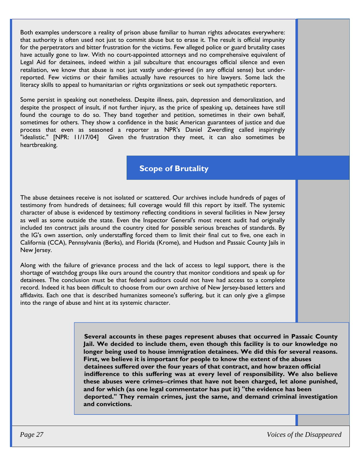Both examples underscore a reality of prison abuse familiar to human rights advocates everywhere: that authority is often used not just to commit abuse but to erase it. The result is official impunity for the perpetrators and bitter frustration for the victims. Few alleged police or guard brutality cases have actually gone to law. With no court-appointed attorneys and no comprehensive equivalent of Legal Aid for detainees, indeed within a jail subculture that encourages official silence and even retaliation, we know that abuse is not just vastly under-grieved (in any official sense) but underreported. Few victims or their families actually have resources to hire lawyers. Some lack the literacy skills to appeal to humanitarian or rights organizations or seek out sympathetic reporters.

Some persist in speaking out nonetheless. Despite illness, pain, depression and demoralization, and despite the prospect of insult, if not further injury, as the price of speaking up, detainees have still found the courage to do so. They band together and petition, sometimes in their own behalf, sometimes for others. They show a confidence in the basic American guarantees of justice and due process that even as seasoned a reporter as NPR's Daniel Zwerdling called inspiringly "idealistic." [NPR: 11/17/04] Given the frustration they meet, it can also sometimes be heartbreaking.

## **Scope of Brutality**

The abuse detainees receive is not isolated or scattered. Our archives include hundreds of pages of testimony from hundreds of detainees; full coverage would fill this report by itself. The systemic character of abuse is evidenced by testimony reflecting conditions in several facilities in New Jersey as well as some outside the state. Even the Inspector General's most recent audit had originally included *ten* contract jails around the country cited for possible serious breaches of standards. By the IG's own assertion, only understaffing forced them to limit their final cut to five, one each in California (CCA), Pennsylvania (Berks), and Florida (Krome), and Hudson and Passaic County Jails in New Jersey.

Along with the failure of grievance process and the lack of access to legal support, there is the shortage of watchdog groups like ours around the country that monitor conditions and speak up for detainees. The conclusion must be that federal auditors could not have had access to a complete record. Indeed it has been difficult to choose from our own archive of New Jersey-based letters and affidavits. Each one that is described humanizes someone's suffering, but it can only give a glimpse into the range of abuse and hint at its systemic character.

> **Several accounts in these pages represent abuses that occurred in Passaic County Jail. We decided to include them, even though this facility is to our knowledge no longer being used to house immigration detainees. We did this for several reasons. First, we believe it is important for people to know the extent of the abuses detainees suffered over the four years of that contract, and how brazen official indifference to this suffering was at every level of responsibility. We also believe these abuses were crimes--crimes that have not been charged, let alone punished, and for which (as one legal commentator has put it) "the evidence has been deported." They remain crimes, just the same, and demand criminal investigation and convictions.**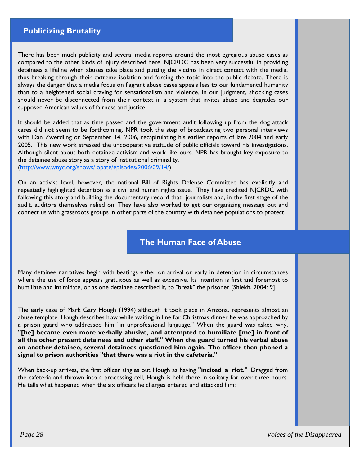## **Publicizing Brutality**

There has been much publicity and several media reports around the most egregious abuse cases as compared to the other kinds of injury described here. NJCRDC has been very successful in providing detainees a lifeline when abuses take place and putting the victims in direct contact with the media, thus breaking through their extreme isolation and forcing the topic into the public debate. There is always the danger that a media focus on flagrant abuse cases appeals less to our fundamental humanity than to a heightened social craving for sensationalism and violence. In our judgment, shocking cases should never be disconnected from their context in a system that invites abuse and degrades our supposed American values of fairness and justice.

It should be added that as time passed and the government audit following up from the dog attack cases did not seem to be forthcoming, NPR took the step of broadcasting two personal interviews with Dan Zwerdling on September 14, 2006, recapitulating his earlier reports of late 2004 and early 2005. This new work stressed the uncooperative attitude of public officials toward his investigations. Although silent about both detainee activism and work like ours, NPR has brought key exposure to the detainee abuse story as a story of institutional criminality. (http://www.wnyc.org/shows/lopate/episodes/2006/09/14/)

On an activist level, however, the national Bill of Rights Defense Committee has explicitly and repeatedly highlighted detention as a civil and human rights issue. They have credited NJCRDC with following this story and building the documentary record that journalists and, in the first stage of the audit, auditors themselves relied on. They have also worked to get our organizing message out and connect us with grassroots groups in other parts of the country with detainee populations to protect.

**The Human Face of Abuse** 

Many detainee narratives begin with beatings either on arrival or early in detention in circumstances where the use of force appears gratuitous as well as excessive. Its intention is first and foremost to humiliate and intimidate, or as one detainee described it, to "break" the prisoner [Shiekh, 2004: 9].

The early case of Mark Gary Hough (1994) although it took place in Arizona, represents almost an abuse template. Hough describes how while waiting in line for Christmas dinner he was approached by a prison guard who addressed him "in unprofessional language." When the guard was asked why, **"[he] became even more verbally abusive, and attempted to humiliate [me] in front of all the other present detainees and other staff." When the guard turned his verbal abuse on another detainee, several detainees questioned him again. The officer then phoned a signal to prison authorities "that there was a riot in the cafeteria."** 

When back-up arrives, the first officer singles out Hough as having **"incited a riot."** Dragged from the cafeteria and thrown into a processing cell, Hough is held there in solitary for over three hours. He tells what happened when the six officers he charges entered and attacked him: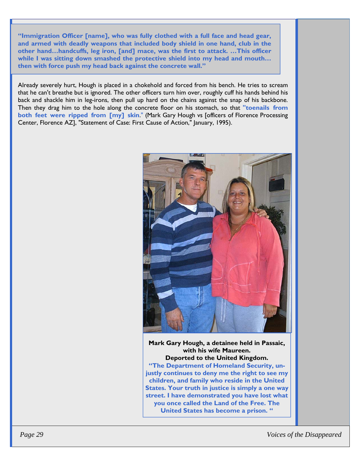**"Immigration Officer [name], who was fully clothed with a full face and head gear, and armed with deadly weapons that included body shield in one hand, club in the other hand…handcuffs, leg iron, [and] mace, was the first to attack. …This officer while I was sitting down smashed the protective shield into my head and mouth… then with force push my head back against the concrete wall."** 

Already severely hurt, Hough is placed in a chokehold and forced from his bench. He tries to scream that he can't breathe but is ignored. The other officers turn him over, roughly cuff his hands behind his back and shackle him in leg-irons, then pull up hard on the chains against the snap of his backbone. Then they drag him to the hole along the concrete floor on his stomach, so that **"toenails from both feet were ripped from [my] skin**." (Mark Gary Hough vs [officers of Florence Processing Center, Florence AZ], "Statement of Case: First Cause of Action," January, 1995).



**Mark Gary Hough, a detainee held in Passaic, with his wife Maureen. Deported to the United Kingdom. "The Department of Homeland Security, unjustly continues to deny me the right to see my children, and family who reside in the United States. Your truth in justice is simply a one way street. I have demonstrated you have lost what you once called the Land of the Free. The United States has become a prison. "**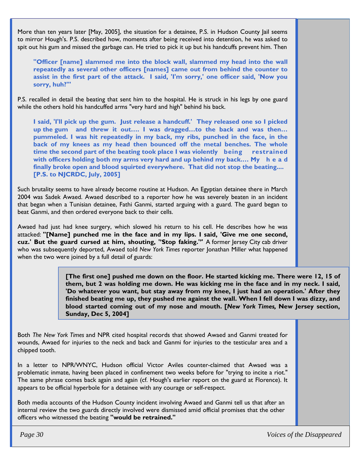More than ten years later [May, 2005], the situation for a detainee, P.S. in Hudson County Jail seems to mirror Hough's. P.S. described how, moments after being received into detention, he was asked to spit out his gum and missed the garbage can. He tried to pick it up but his handcuffs prevent him. Then

**"Officer [name] slammed me into the block wall, slammed my head into the wall repeatedly as several other officers [names] came out from behind the counter to assist in the first part of the attack. I said, 'I'm sorry,' one officer said, 'Now you sorry, huh?'"** 

P.S. recalled in detail the beating that sent him to the hospital. He is struck in his legs by one guard while the others hold his handcuffed arms "very hard and high" behind his back.

**I said, 'I'll pick up the gum. Just release a handcuff.' They released one so I picked up the gum and threw it out…. I was dragged…to the back and was then… pummeled. I was hit repeatedly in my back, my ribs, punched in the face, in the back of my knees as my head then bounced off the metal benches. The whole time the second part of the beating took place I was violently being restrained with officers holding both my arms very hard and up behind my back.… My h e a d finally broke open and blood squirted everywhere. That did not stop the beating.... [P.S. to NJCRDC, July, 2005]** 

Such brutality seems to have already become routine at Hudson. An Egyptian detainee there in March 2004 was Sadek Awaed. Awaed described to a reporter how he was severely beaten in an incident that began when a Tunisian detainee, Fathi Ganmi, started arguing with a guard. The guard began to beat Ganmi, and then ordered everyone back to their cells.

Awaed had just had knee surgery, which slowed his return to his cell. He describes how he was attacked: **''[Name] punched me in the face and in my lips. I said, 'Give me one second, cuz.' But the guard cursed at him, shouting, ''Stop faking.'''** A former Jersey City cab driver who was subsequently deported, Awaed told *New York Times* reporter Jonathan Miller what happened when the two were joined by a full detail of guards:

> **[The first one] pushed me down on the floor. He started kicking me. There were 12, 15 of them, but 2 was holding me down. He was kicking me in the face and in my neck. I said, 'Do whatever you want, but stay away from my knee, I just had an operation.' After they finished beating me up, they pushed me against the wall. When I fell down I was dizzy, and blood started coming out of my nose and mouth. [***New York Times,* **New Jersey section, Sunday, Dec 5, 2004]**

Both *The New York Times* and NPR cited hospital records that showed Awaed and Ganmi treated for wounds, Awaed for injuries to the neck and back and Ganmi for injuries to the testicular area and a chipped tooth.

In a letter to NPR/WNYC, Hudson official Victor Aviles counter-claimed that Awaed was a problematic inmate, having been placed in confinement two weeks before for "trying to incite a riot." The same phrase comes back again and again (cf. Hough's earlier report on the guard at Florence). It appears to be official hyperbole for a detainee with any courage or self-respect.

Both media accounts of the Hudson County incident involving Awaed and Ganmi tell us that after an internal review the two guards directly involved were dismissed amid official promises that the other officers who witnessed the beating **"would be retrained."** 

 *Page 30 Voices of the Disappeared*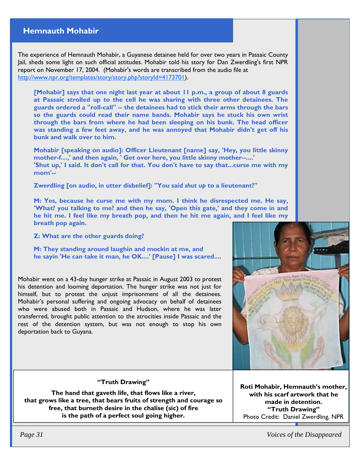### **Hemnauth Mohabir**

The experience of Hemnauth Mohabir, a Guyanese detainee held for over two years in Passaic County Jail, sheds some light on such official attitudes. Mohabir told his story for Dan Zwerdling's first NPR report on November 17, 2004. (Mohabir's words are transcribed from the audio file at http://www.npr.org/templates/story/story.php?storyId=4173701).

**[Mohabir] says that one night last year at about 11 p.m., a group of about 8 guards at Passaic strolled up to the cell he was sharing with three other detainees. The guards ordered a "roll-call" -- the detainees had to stick their arms through the bars so the guards could read their name bands. Mohabir says he stuck his own wrist through the bars from where he had been sleeping on his bunk. The head officer was standing a few feet away, and he was annoyed that Mohabir didn't get off his bunk and walk over to him.** 

**Mohabir [speaking on audio]: Officer Lieutenant [name] say, 'Hey, you little skinny mother-f…,' and then again, ' Get over here, you little skinny mother--....' 'Shut up,' I said. It don't call for that. You don't have to say that...curse me with my mom'--** 

**Zwerdling [on audio, in utter disbelief]: "You said** *shut up* **to a lieutenant?"** 

**M: Yes, because he curse me with my mom. I think he disrespected me. He say, 'What? you talking to me? and then he say, 'Open this gate,' and they come in and he hit me. I feel like my breath pop, and then he hit me again, and I feel like my breath pop again.** 

**Z: What are the other guards doing?** 

**M: They standing around laughin and mockin at me, and he sayin 'He can take it man, he OK....' [Pause] I was scared....** 

Mohabir went on a 43-day hunger strike at Passaic in August 2003 to protest his detention and looming deportation. The hunger strike was not just for himself, but to protest the unjust imprisonment of all the detainees. Mohabir's personal suffering and ongoing advocacy on behalf of detainees who were abused both in Passaic and Hudson, where he was later transferred, brought public attention to the atrocities inside Passaic and the rest of the detention system, but was not enough to stop his own deportation back to Guyana.



#### **"Truth Drawing"**

**The hand that gaveth life, that flows like a river, that grows like a tree, that bears fruits of strength and courage so free, that burneth desire in the chalise (sic) of fire is the path of a perfect soul going higher.** 

**Roti Mohabir, Hemnauth's mother, with his scarf artwork that he made in detention. "Truth Drawing"**  Photo Credit: Daniel Zwerdling, NPR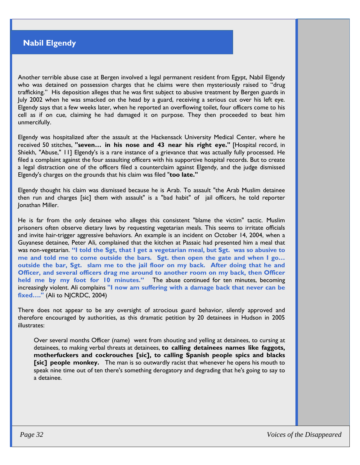## **Nabil Elgendy**

Another terrible abuse case at Bergen involved a legal permanent resident from Egypt, Nabil Elgendy who was detained on possession charges that he claims were then mysteriously raised to "drug trafficking." His deposition alleges that he was first subject to abusive treatment by Bergen guards in July 2002 when he was smacked on the head by a guard, receiving a serious cut over his left eye. Elgendy says that a few weeks later, when he reported an overflowing toilet, four officers come to his cell as if on cue, claiming he had damaged it on purpose. They then proceeded to beat him unmercifully.

Elgendy was hospitalized after the assault at the Hackensack University Medical Center, where he received 50 stitches, **"seven… in his nose and 43 near his right eye."** [Hospital record, in Shiekh, "Abuse," 11] Elgendy's is a rare instance of a grievance that was actually fully processed. He filed a complaint against the four assaulting officers with his supportive hospital records. But to create a legal distraction one of the officers filed a counterclaim against Elgendy, and the judge dismissed Elgendy's charges on the grounds that his claim was filed "**too late."** 

Elgendy thought his claim was dismissed because he is Arab. To assault "the Arab Muslim detainee then run and charges [sic] them with assault" is a "bad habit" of jail officers, he told reporter Jonathan Miller.

He is far from the only detainee who alleges this consistent "blame the victim" tactic. Muslim prisoners often observe dietary laws by requesting vegetarian meals. This seems to irritate officials and invite hair-trigger aggressive behaviors. An example is an incident on October 14, 2004, when a Guyanese detainee, Peter Ali, complained that the kitchen at Passaic had presented him a meal that was non-vegetarian. **"I told the Sgt, that I get a vegetarian meal, but Sgt. was so abusive to me and told me to come outside the bars. Sgt. then open the gate and when I go… outside the bar, Sgt. slam me to the jail floor on my back. After doing that he and Officer, and several officers drag me around to another room on my back, then Officer held me by my foot for 10 minutes."** The abuse continued for ten minutes, becoming increasingly violent. Ali complains **"I now am suffering with a damage back that never can be fixed…."** (Ali to NJCRDC, 2004)

There does not appear to be any oversight of atrocious guard behavior, silently approved and therefore encouraged by authorities, as this dramatic petition by 20 detainees in Hudson in 2005 illustrates:

Over several months Officer (name) went from shouting and yelling at detainees, to cursing at detainees, to making verbal threats at detainees, **to calling detainees names like faggots, motherfuckers and cockrouches [sic], to calling Spanish people spics and blacks [sic] people monkey.** The man is so outwardly racist that whenever he opens his mouth to speak nine time out of ten there's something derogatory and degrading that he's going to say to a detainee.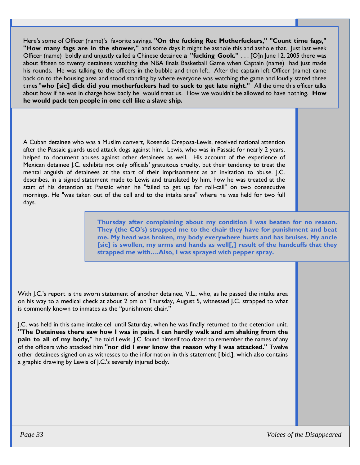Here's some of Officer (name)'s favorite sayings. **"On the fucking Rec Motherfuckers," "Count time fags," "How many fags are in the shower,"** and some days it might be asshole this and asshole that. Just last week Officer (name) boldly and unjustly called a Chinese detainee **a "fucking Gook."** . . . [O]n June 12, 2005 there was about fifteen to twenty detainees watching the NBA finals Basketball Game when Captain (name) had just made his rounds. He was talking to the officers in the bubble and then left. After the captain left Officer (name) came back on to the housing area and stood standing by where everyone was watching the game and loudly stated three times "**who [sic] dick did you motherfuckers had to suck to get late night."** All the time this officer talks about how if he was in charge how badly he would treat us. How we wouldn't be allowed to have nothing. **How he would pack ten people in one cell like a slave ship.** 

A Cuban detainee who was a Muslim convert, Rosendo Oreposa-Lewis, received national attention after the Passaic guards used attack dogs against him. Lewis, who was in Passaic for nearly 2 years, helped to document abuses against other detainees as well. His account of the experience of Mexican detainee J.C. exhibits not only officials' gratuitous cruelty, but their tendency to treat the mental anguish of detainees at the start of their imprisonment as an invitation to abuse. J.C. describes, in a signed statement made to Lewis and translated by him, how he was treated at the start of his detention at Passaic when he "failed to get up for roll-call" on two consecutive mornings. He "was taken out of the cell and to the intake area" where he was held for two full days.

> **Thursday after complaining about my condition I was beaten for no reason. They (the CO's) strapped me to the chair they have for punishment and beat me. My head was broken, my body everywhere hurts and has bruises. My ancle [sic] is swollen, my arms and hands as well[,] result of the handcuffs that they strapped me with….Also, I was sprayed with pepper spray.**

With J.C.'s report is the sworn statement of another detainee, V.L., who, as he passed the intake area on his way to a medical check at about 2 pm on Thursday, August 5, witnessed J.C. strapped to what is commonly known to inmates as the "punishment chair."

J.C. was held in this same intake cell until Saturday, when he was finally returned to the detention unit. **"The Detainees there saw how I was in pain. I can hardly walk and am shaking from the pain to all of my body,"** he told Lewis. J.C. found himself too dazed to remember the names of any of the officers who attacked him **"nor did I ever know the reason why I was attacked."** Twelve other detainees signed on as witnesses to the information in this statement [Ibid.], which also contains a graphic drawing by Lewis of J.C.'s severely injured body.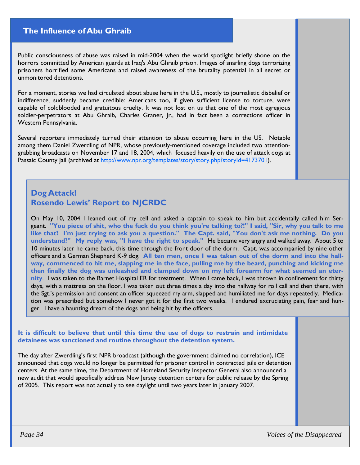## **The Influence of Abu Ghraib**

Public consciousness of abuse was raised in mid-2004 when the world spotlight briefly shone on the horrors committed by American guards at Iraq's Abu Ghraib prison. Images of snarling dogs terrorizing prisoners horrified some Americans and raised awareness of the brutality potential in all secret or unmonitored detentions.

For a moment, stories we had circulated about abuse here in the U.S., mostly to journalistic disbelief or indifference, suddenly became credible: Americans too, if given sufficient license to torture, were capable of coldblooded and gratuitous cruelty. It was not lost on us that one of the most egregious soldier-perpetrators at Abu Ghraib, Charles Graner, Jr., had in fact been a corrections officer in Western Pennsylvania.

Several reporters immediately turned their attention to abuse occurring here in the US. Notable among them Daniel Zwerdling of NPR, whose previously-mentioned coverage included two attentiongrabbing broadcasts on November 17 and 18, 2004, which focused heavily on the use of attack dogs at Passaic County Jail (archived at http://www.npr.org/templates/story/story.php?storyId=4173701).

## **Dog Attack! Rosendo Lewis' Report to NJCRDC**

On May 10, 2004 I leaned out of my cell and asked a captain to speak to him but accidentally called him Sergeant. **"You piece of shit, who the fuck do you think you're talking to?!" I said, "Sir, why you talk to me like that? I'm just trying to ask you a question." The Capt. said, "You don't ask me nothing. Do you understand?" My reply was, "I have the right to speak."** He became very angry and walked away. About 5 to 10 minutes later he came back, this time through the front door of the dorm. Capt. was accompanied by nine other officers and a German Shepherd K-9 dog. **All ten men, once I was taken out of the dorm and into the hallway, commenced to hit me, slapping me in the face, pulling me by the beard, punching and kicking me then finally the dog was unleashed and clamped down on my left forearm for what seemed an eternity**. I was taken to the Barnet Hospital ER for treatment. When I came back, I was thrown in confinement for thirty days, with a mattress on the floor. I was taken out three times a day into the hallway for roll call and then there, with the Sgt.'s permission and consent an officer squeezed my arm, slapped and humiliated me for days repeatedly. Medication was prescribed but somehow I never got it for the first two weeks. I endured excruciating pain, fear and hunger. I have a haunting dream of the dogs and being hit by the officers.

**It is difficult to believe that until this time the use of dogs to restrain and intimidate detainees was sanctioned and routine throughout the detention system.** 

The day after Zwerdling's first NPR broadcast (although the government claimed no correlation), ICE announced that dogs would no longer be permitted for prisoner control in contracted jails or detention centers. At the same time, the Department of Homeland Security Inspector General also announced a new audit that would specifically address New Jersey detention centers for public release by the Spring of 2005. This report was not actually to see daylight until two years later in January 2007.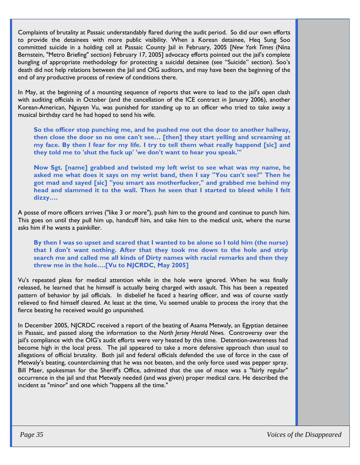Complaints of brutality at Passaic understandably flared during the audit period. So did our own efforts to provide the detainees with more public visibility. When a Korean detainee, Heq Sung Soo committed suicide in a holding cell at Passaic County Jail in February, 2005 [*New York Times* (Nina Bernstein, "Metro Briefing" section) February 17, 2005] advocacy efforts pointed out the jail's complete bungling of appropriate methodology for protecting a suicidal detainee (see "Suicide" section). Soo's death did not help relations between the Jail and OIG auditors, and may have been the beginning of the end of any productive process of review of conditions there.

In May, at the beginning of a mounting sequence of reports that were to lead to the jail's open clash with auditing officials in October (and the cancellation of the ICE contract in January 2006), another Korean-American, Nguyen Vu, was punished for standing up to an officer who tried to take away a musical birthday card he had hoped to send his wife.

**So the officer stop punching me, and he pushed me out the door to another hallway, then close the door so no one can't see… [then] they start yelling and screaming at my face. By then I fear for my life. I try to tell them what really happend [sic] and they told me to 'shut the fuck up' 'we don't want to hear you speak.'"** 

**Now Sgt. [name] grabbed and twisted my left wrist to see what was my name, he asked me what does it says on my wrist band, then I say "You can't see?" Then he got mad and sayed [sic] "you smart ass motherfucker," and grabbed me behind my head and slammed it to the wall. Then he seen that I started to bleed while I felt dizzy….** 

A posse of more officers arrives ("like 3 or more"), push him to the ground and continue to punch him. This goes on until they pull him up, handcuff him, and take him to the medical unit, where the nurse asks him if he wants a painkiller.

**By then I was so upset and scared that I wanted to be alone so I told him (the nurse) that I don't want nothing. After that they took me down to the hole and strip search me and called me all kinds of Dirty names with racial remarks and then they threw me in the hole….[Vu to NJCRDC, May 2005]** 

Vu's repeated pleas for medical attention while in the hole were ignored. When he was finally released, he learned that he himself is actually being charged with assault. This has been a repeated pattern of behavior by jail officials. In disbelief he faced a hearing officer, and was of course vastly relieved to find himself cleared. At least at the time, Vu seemed unable to process the irony that the fierce beating he received would go unpunished.

In December 2005, NJCRDC received a report of the beating of Asama Metwaly, an Egyptian detainee in Passaic, and passed along the information to the *North Jersey Herald News.* Controversy over the jail's compliance with the OIG's audit efforts were very heated by this time. Detention-awareness had become high in the local press. The jail appeared to take a more defensive approach than usual to allegations of official brutality. Both jail and federal officials defended the use of force in the case of Metwaly's beating, counterclaiming that he was not beaten, and the only force used was pepper spray. Bill Maer, spokesman for the Sheriff's Office, admitted that the use of mace was a "fairly regular" occurrence in the jail and that Metwaly needed (and was given) proper medical care. He described the incident as "minor" and one which "happens all the time."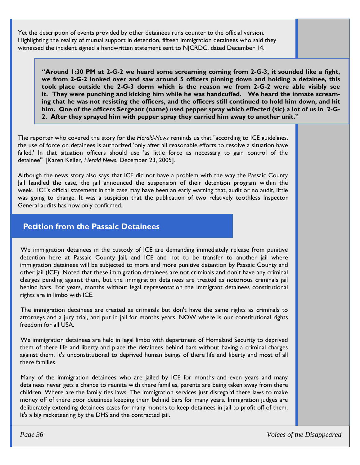Yet the description of events provided by other detainees runs counter to the official version. Highlighting the reality of mutual support in detention, fifteen immigration detainees who said they witnessed the incident signed a handwritten statement sent to NJCRDC, dated December 14.

**"Around 1:30 PM at 2-G-2 we heard some screaming coming from 2-G-3, it sounded like a fight, we from 2-G-2 looked over and saw around 5 officers pinning down and holding a detainee, this took place outside the 2-G-3 dorm which is the reason we from 2-G-2 were able visibly see it. They were punching and kicking him while he was handcuffed. We heard the inmate screaming that he was not resisting the officers, and the officers still continued to hold him down, and hit him. One of the officers Sergeant (name) used pepper spray which effected (sic) a lot of us in 2-G-2. After they sprayed him with pepper spray they carried him away to another unit."**

The reporter who covered the story for the *Herald-News* reminds us that "according to ICE guidelines, the use of force on detainees is authorized 'only after all reasonable efforts to resolve a situation have failed.' In that situation officers should use 'as little force as necessary to gain control of the detainee'" [Karen Keller, *Herald News*, December 23, 2005].

Although the news story also says that ICE did not have a problem with the way the Passaic County Jail handled the case, the jail announced the suspension of their detention program within the week. ICE's official statement in this case may have been an early warning that, audit or no audit, little was going to change. It was a suspicion that the publication of two relatively toothless Inspector General audits has now only confirmed.

## **Petition from the Passaic Detainees**

We immigration detainees in the custody of ICE are demanding immediately release from punitive detention here at Passaic County Jail, and ICE and not to be transfer to another jail where immigration detainees will be subjected to more and more punitive detention by Passaic County and other jail (ICE). Noted that these immigration detainees are not criminals and don't have any criminal charges pending against them, but the immigration detainees are treated as notorious criminals jail behind bars. For years, months without legal representation the immigrant detainees constitutional rights are in limbo with ICE.

The immigration detainees are treated as criminals but don't have the same rights as criminals to attorneys and a jury trial, and put in jail for months years. NOW where is our constitutional rights freedom for all USA.

We immigration detainees are held in legal limbo with department of Homeland Security to deprived them of there life and liberty and place the detainees behind bars without having a criminal charges against them. It's unconstitutional to deprived human beings of there life and liberty and most of all there families.

Many of the immigration detainees who are jailed by ICE for months and even years and many detainees never gets a chance to reunite with there families, parents are being taken away from there children. Where are the family ties laws. The immigration services just disregard there laws to make money off of there poor detainees keeping them behind bars for many years. Immigration judges are deliberately extending detainees cases for many months to keep detainees in jail to profit off of them. It's a big racketeering by the DHS and the contracted jail.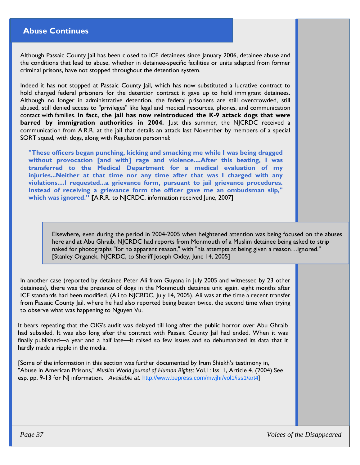## **Abuse Continues**

Although Passaic County Jail has been closed to ICE detainees since January 2006, detainee abuse and the conditions that lead to abuse, whether in detainee-specific facilities or units adapted from former criminal prisons, have not stopped throughout the detention system.

Indeed it has not stopped at Passaic County Jail, which has now substituted a lucrative contract to hold charged federal prisoners for the detention contract it gave up to hold immigrant detainees. Although no longer in administrative detention, the federal prisoners are still overcrowded, still abused, still denied access to "privileges" like legal and medical resources, phones, and communication contact with families. **In fact, the jail has now reintroduced the K-9 attack dogs that were barred by immigration authorities in 2004.** Just this summer, the NJCRDC received a communication from A.R.R. at the jail that details an attack last November by members of a special SORT squad, with dogs, along with Regulation personnel:

**"These officers began punching, kicking and smacking me while I was being dragged without provocation [and with] rage and violence....After this beating, I was transferred to the Medical Department for a medical evaluation of my injuries...Neither at that time nor any time after that was I charged with any violations....I requested...a grievance form, pursuant to jail grievance procedures. Instead of receiving a grievance form the officer gave me an ombudsman slip," which was ignored." [**A.R.R. to NJCRDC, information received June, 2007]

Elsewhere, even during the period in 2004-2005 when heightened attention was being focused on the abuses here and at Abu Ghraib, NJCRDC had reports from Monmouth of a Muslim detainee being asked to strip naked for photographs "for no apparent reason," with "his attempts at being given a reason…ignored." [Stanley Organek, NJCRDC, to Sheriff Joseph Oxley, June 14, 2005]

In another case (reported by detainee Peter Ali from Guyana in July 2005 and witnessed by 23 other detainees), there was the presence of dogs in the Monmouth detainee unit again, eight months after ICE standards had been modified. (Ali to NJCRDC, July 14, 2005). Ali was at the time a recent transfer from Passaic County Jail, where he had also reported being beaten twice, the second time when trying to observe what was happening to Nguyen Vu.

It bears repeating that the OIG's audit was delayed till long after the public horror over Abu Ghraib had subsided. It was also long after the contract with Passaic County Jail had ended. When it was finally published—a year and a half late—it raised so few issues and so dehumanized its data that it hardly made a ripple in the media.

[Some of the information in this section was further documented by Irum Shiekh's testimony in, "Abuse in American Prisons," *Muslim World Journal of Human Rights*: Vol.1: Iss. 1, Article 4. (2004) See esp. pp. 9-13 for NJ information. *Available at:* http://www.bepress.com/mwjhr/vol1/iss1/art4]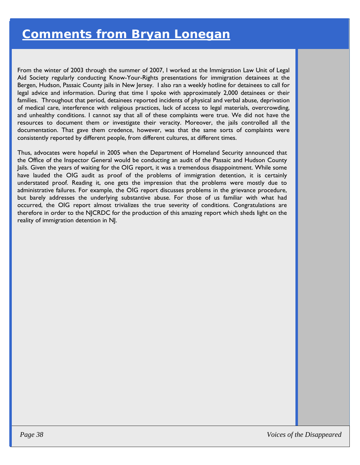From the winter of 2003 through the summer of 2007, I worked at the Immigration Law Unit of Legal Aid Society regularly conducting Know-Your-Rights presentations for immigration detainees at the Bergen, Hudson, Passaic County jails in New Jersey. I also ran a weekly hotline for detainees to call for legal advice and information. During that time I spoke with approximately 2,000 detainees or their families. Throughout that period, detainees reported incidents of physical and verbal abuse, deprivation of medical care, interference with religious practices, lack of access to legal materials, overcrowding, and unhealthy conditions. I cannot say that all of these complaints were true. We did not have the resources to document them or investigate their veracity. Moreover, the jails controlled all the documentation. That gave them credence, however, was that the same sorts of complaints were consistently reported by different people, from different cultures, at different times. *38 <b>COMMENTS STrom Bryan Lonegan Lonegan Comment of 2007, two set of 2007, two set of 2007 and Society regularly conducting Know-Your-Rights presentations for immigration set of the spent, Hudson, Passac County plat in* 

Thus, advocates were hopeful in 2005 when the Department of Homeland Security announced that the Office of the Inspector General would be conducting an audit of the Passaic and Hudson County Jails. Given the years of waiting for the OIG report, it was a tremendous disappointment. While some have lauded the OIG audit as proof of the problems of immigration detention, it is certainly understated proof. Reading it, one gets the impression that the problems were mostly due to administrative failures. For example, the OIG report discusses problems in the grievance procedure, but barely addresses the underlying substantive abuse. For those of us familiar with what had occurred, the OIG report almost trivializes the true severity of conditions. Congratulations are therefore in order to the NJCRDC for the production of this amazing report which sheds light on the reality of immigration detention in NJ.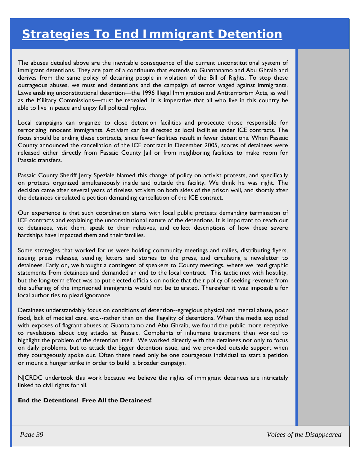## *Strategies To End Immigrant Detention*

The abuses detailed above are the inevitable consequence of the current unconstitutional system of immigrant detentions. They are part of a continuum that extends to Guantanamo and Abu Ghraib and derives from the same policy of detaining people in violation of the Bill of Rights. To stop these outrageous abuses, we must end detentions and the campaign of terror waged against immigrants. Laws enabling unconstitutional detention—the 1996 Illegal Immigration and Antiterrorism Acts, as well as the Military Commissions—must be repealed. It is imperative that all who live in this country be able to live in peace and enjoy full political rights.

Local campaigns can organize to close detention facilities and prosecute those responsible for terrorizing innocent immigrants. Activism can be directed at local facilities under ICE contracts. The focus should be ending these contracts, since fewer facilities result in fewer detentions. When Passaic County announced the cancellation of the ICE contract in December 2005, scores of detainees were released either directly from Passaic County Jail or from neighboring facilities to make room for Passaic transfers.

Passaic County Sheriff Jerry Speziale blamed this change of policy on activist protests, and specifically on protests organized simultaneously inside and outside the facility. We think he was right. The decision came after several years of tireless activism on both sides of the prison wall, and shortly after the detainees circulated a petition demanding cancellation of the ICE contract.

Our experience is that such coordination starts with local public protests demanding termination of ICE contracts and explaining the unconstitutional nature of the detentions. It is important to reach out to detainees, visit them, speak to their relatives, and collect descriptions of how these severe hardships have impacted them and their families.

Some strategies that worked for us were holding community meetings and rallies, distributing flyers, issuing press releases, sending letters and stories to the press, and circulating a newsletter to detainees. Early on, we brought a contingent of speakers to County meetings, where we read graphic statements from detainees and demanded an end to the local contract. This tactic met with hostility, but the long-term effect was to put elected officials on notice that their policy of seeking revenue from the suffering of the imprisoned immigrants would not be tolerated. Thereafter it was impossible for local authorities to plead ignorance.

Detainees understandably focus on conditions of detention--egregious physical and mental abuse, poor food, lack of medical care, etc.--rather than on the illegality of detentions. When the media exploded with exposes of flagrant abuses at Guantanamo and Abu Ghraib, we found the public more receptive to revelations about dog attacks at Passaic. Complaints of inhumane treatment then worked to highlight the problem of the detention itself. We worked directly with the detainees not only to focus on daily problems, but to attack the bigger detention issue, and we provided outside support when they courageously spoke out. Often there need only be one courageous individual to start a petition or mount a hunger strike in order to build a broader campaign.

NJCRDC undertook this work because we believe the rights of immigrant detainees are intricately linked to civil rights for all.

#### **End the Detentions! Free All the Detainees!**